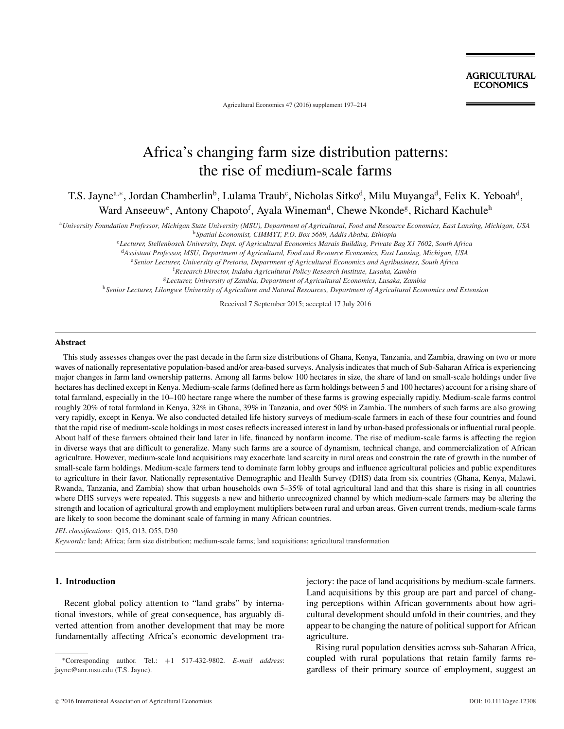Agricultural Economics 47 (2016) supplement 197–214

# Africa's changing farm size distribution patterns: the rise of medium-scale farms

T.S. Jayne<sup>a,∗</sup>, Jordan Chamberlin<sup>b</sup>, Lulama Traub<sup>c</sup>, Nicholas Sitko<sup>d</sup>, Milu Muyanga<sup>d</sup>, Felix K. Yeboah<sup>d</sup>, Ward Anseeuw<sup>e</sup>, Antony Chapoto<sup>f</sup>, Ayala Wineman<sup>d</sup>, Chewe Nkonde<sup>g</sup>, Richard Kachule<sup>h</sup>

<sup>a</sup>*University Foundation Professor, Michigan State University (MSU), Department of Agricultural, Food and Resource Economics, East Lansing, Michigan, USA*

<sup>b</sup>*Spatial Economist, CIMMYT, P.O. Box 5689, Addis Ababa, Ethiopia*

<sup>c</sup>*Lecturer, Stellenbosch University, Dept. of Agricultural Economics Marais Building, Private Bag X1 7602, South Africa*

<sup>d</sup>*Assistant Professor, MSU, Department of Agricultural, Food and Resource Economics, East Lansing, Michigan, USA*

<sup>e</sup>*Senior Lecturer, University of Pretoria, Department of Agricultural Economics and Agribusiness, South Africa*

f *Research Director, Indaba Agricultural Policy Research Institute, Lusaka, Zambia*

<sup>g</sup>*Lecturer, University of Zambia, Department of Agricultural Economics, Lusaka, Zambia*

<sup>h</sup>*Senior Lecturer, Lilongwe University of Agriculture and Natural Resources, Department of Agricultural Economics and Extension*

Received 7 September 2015; accepted 17 July 2016

#### **Abstract**

This study assesses changes over the past decade in the farm size distributions of Ghana, Kenya, Tanzania, and Zambia, drawing on two or more waves of nationally representative population-based and/or area-based surveys. Analysis indicates that much of Sub-Saharan Africa is experiencing major changes in farm land ownership patterns. Among all farms below 100 hectares in size, the share of land on small-scale holdings under five hectares has declined except in Kenya. Medium-scale farms (defined here as farm holdings between 5 and 100 hectares) account for a rising share of total farmland, especially in the 10–100 hectare range where the number of these farms is growing especially rapidly. Medium-scale farms control roughly 20% of total farmland in Kenya, 32% in Ghana, 39% in Tanzania, and over 50% in Zambia. The numbers of such farms are also growing very rapidly, except in Kenya. We also conducted detailed life history surveys of medium-scale farmers in each of these four countries and found that the rapid rise of medium-scale holdings in most cases reflects increased interest in land by urban-based professionals or influential rural people. About half of these farmers obtained their land later in life, financed by nonfarm income. The rise of medium-scale farms is affecting the region in diverse ways that are difficult to generalize. Many such farms are a source of dynamism, technical change, and commercialization of African agriculture. However, medium-scale land acquisitions may exacerbate land scarcity in rural areas and constrain the rate of growth in the number of small-scale farm holdings. Medium-scale farmers tend to dominate farm lobby groups and influence agricultural policies and public expenditures to agriculture in their favor. Nationally representative Demographic and Health Survey (DHS) data from six countries (Ghana, Kenya, Malawi, Rwanda, Tanzania, and Zambia) show that urban households own 5–35% of total agricultural land and that this share is rising in all countries where DHS surveys were repeated. This suggests a new and hitherto unrecognized channel by which medium-scale farmers may be altering the strength and location of agricultural growth and employment multipliers between rural and urban areas. Given current trends, medium-scale farms are likely to soon become the dominant scale of farming in many African countries.

*JEL classifications*: Q15, O13, O55, D30

*Keywords:* land; Africa; farm size distribution; medium-scale farms; land acquisitions; agricultural transformation

## **1. Introduction**

Recent global policy attention to "land grabs" by international investors, while of great consequence, has arguably diverted attention from another development that may be more fundamentally affecting Africa's economic development trajectory: the pace of land acquisitions by medium-scale farmers. Land acquisitions by this group are part and parcel of changing perceptions within African governments about how agricultural development should unfold in their countries, and they appear to be changing the nature of political support for African agriculture.

Rising rural population densities across sub-Saharan Africa, coupled with rural populations that retain family farms regardless of their primary source of employment, suggest an

<sup>∗</sup>Corresponding author. Tel.: +1 517-432-9802. *E-mail address*: jayne@anr.msu.edu (T.S. Jayne).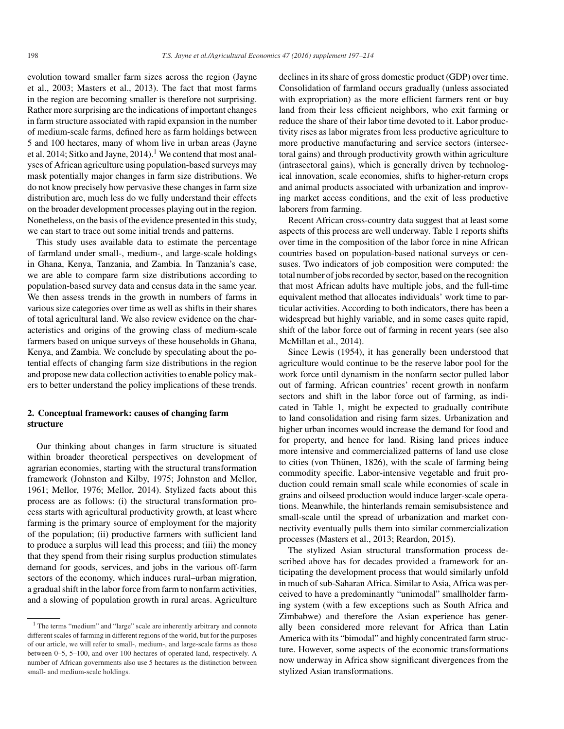evolution toward smaller farm sizes across the region (Jayne et al., 2003; Masters et al., 2013). The fact that most farms in the region are becoming smaller is therefore not surprising. Rather more surprising are the indications of important changes in farm structure associated with rapid expansion in the number of medium-scale farms, defined here as farm holdings between 5 and 100 hectares, many of whom live in urban areas (Jayne et al. 2014; Sitko and Jayne,  $2014$ ).<sup>1</sup> We contend that most analyses of African agriculture using population-based surveys may mask potentially major changes in farm size distributions. We do not know precisely how pervasive these changes in farm size distribution are, much less do we fully understand their effects on the broader development processes playing out in the region. Nonetheless, on the basis of the evidence presented in this study, we can start to trace out some initial trends and patterns.

This study uses available data to estimate the percentage of farmland under small-, medium-, and large-scale holdings in Ghana, Kenya, Tanzania, and Zambia. In Tanzania's case, we are able to compare farm size distributions according to population-based survey data and census data in the same year. We then assess trends in the growth in numbers of farms in various size categories over time as well as shifts in their shares of total agricultural land. We also review evidence on the characteristics and origins of the growing class of medium-scale farmers based on unique surveys of these households in Ghana, Kenya, and Zambia. We conclude by speculating about the potential effects of changing farm size distributions in the region and propose new data collection activities to enable policy makers to better understand the policy implications of these trends.

## **2. Conceptual framework: causes of changing farm structure**

Our thinking about changes in farm structure is situated within broader theoretical perspectives on development of agrarian economies, starting with the structural transformation framework (Johnston and Kilby, 1975; Johnston and Mellor, 1961; Mellor, 1976; Mellor, 2014). Stylized facts about this process are as follows: (i) the structural transformation process starts with agricultural productivity growth, at least where farming is the primary source of employment for the majority of the population; (ii) productive farmers with sufficient land to produce a surplus will lead this process; and (iii) the money that they spend from their rising surplus production stimulates demand for goods, services, and jobs in the various off-farm sectors of the economy, which induces rural–urban migration, a gradual shift in the labor force from farm to nonfarm activities, and a slowing of population growth in rural areas. Agriculture

declines in its share of gross domestic product (GDP) over time. Consolidation of farmland occurs gradually (unless associated with expropriation) as the more efficient farmers rent or buy land from their less efficient neighbors, who exit farming or reduce the share of their labor time devoted to it. Labor productivity rises as labor migrates from less productive agriculture to more productive manufacturing and service sectors (intersectoral gains) and through productivity growth within agriculture (intrasectoral gains), which is generally driven by technological innovation, scale economies, shifts to higher-return crops and animal products associated with urbanization and improving market access conditions, and the exit of less productive laborers from farming.

Recent African cross-country data suggest that at least some aspects of this process are well underway. Table 1 reports shifts over time in the composition of the labor force in nine African countries based on population-based national surveys or censuses. Two indicators of job composition were computed: the total number of jobs recorded by sector, based on the recognition that most African adults have multiple jobs, and the full-time equivalent method that allocates individuals' work time to particular activities. According to both indicators, there has been a widespread but highly variable, and in some cases quite rapid, shift of the labor force out of farming in recent years (see also McMillan et al., 2014).

Since Lewis (1954), it has generally been understood that agriculture would continue to be the reserve labor pool for the work force until dynamism in the nonfarm sector pulled labor out of farming. African countries' recent growth in nonfarm sectors and shift in the labor force out of farming, as indicated in Table 1, might be expected to gradually contribute to land consolidation and rising farm sizes. Urbanization and higher urban incomes would increase the demand for food and for property, and hence for land. Rising land prices induce more intensive and commercialized patterns of land use close to cities (von Thünen, 1826), with the scale of farming being commodity specific. Labor-intensive vegetable and fruit production could remain small scale while economies of scale in grains and oilseed production would induce larger-scale operations. Meanwhile, the hinterlands remain semisubsistence and small-scale until the spread of urbanization and market connectivity eventually pulls them into similar commercialization processes (Masters et al., 2013; Reardon, 2015).

The stylized Asian structural transformation process described above has for decades provided a framework for anticipating the development process that would similarly unfold in much of sub-Saharan Africa. Similar to Asia, Africa was perceived to have a predominantly "unimodal" smallholder farming system (with a few exceptions such as South Africa and Zimbabwe) and therefore the Asian experience has generally been considered more relevant for Africa than Latin America with its "bimodal" and highly concentrated farm structure. However, some aspects of the economic transformations now underway in Africa show significant divergences from the stylized Asian transformations.

<sup>&</sup>lt;sup>1</sup> The terms "medium" and "large" scale are inherently arbitrary and connote different scales of farming in different regions of the world, but for the purposes of our article, we will refer to small-, medium-, and large-scale farms as those between 0–5, 5–100, and over 100 hectares of operated land, respectively. A number of African governments also use 5 hectares as the distinction between small- and medium-scale holdings.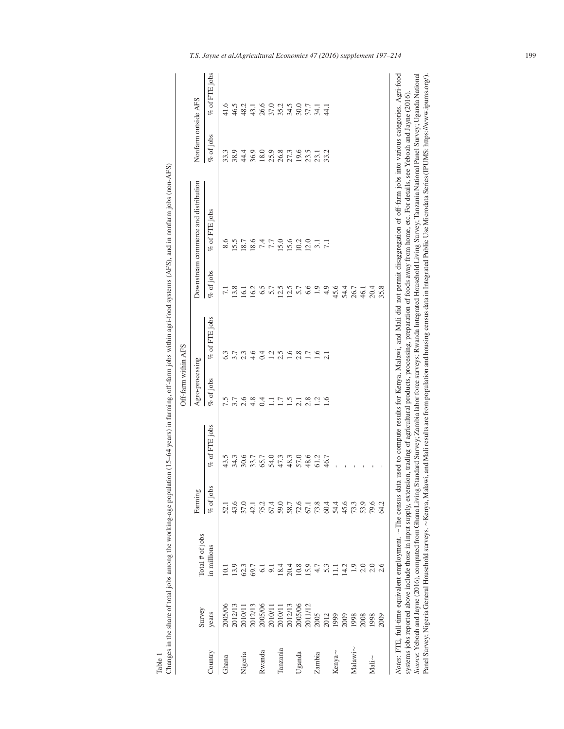|             |         |                   |              |               | Off-farm within AFS |                |                  |                                                                                                                                                                                                                                                                                                                                                                                                                                                                                                                                                                                                                                                                                                                                                                                                                                   |                     |                 |
|-------------|---------|-------------------|--------------|---------------|---------------------|----------------|------------------|-----------------------------------------------------------------------------------------------------------------------------------------------------------------------------------------------------------------------------------------------------------------------------------------------------------------------------------------------------------------------------------------------------------------------------------------------------------------------------------------------------------------------------------------------------------------------------------------------------------------------------------------------------------------------------------------------------------------------------------------------------------------------------------------------------------------------------------|---------------------|-----------------|
|             | Survey  | Total $#$ of jobs | Farming      |               | Agro-processing     |                |                  | Downstream commerce and distribution                                                                                                                                                                                                                                                                                                                                                                                                                                                                                                                                                                                                                                                                                                                                                                                              | Nonfarm outside AFS |                 |
| Country     | years   | in millions       | $%$ of jobs  | % of FTE jobs | $%$ of jobs         | % of FTE jobs  | $%$ of jobs      | $%$ of FTE jobs                                                                                                                                                                                                                                                                                                                                                                                                                                                                                                                                                                                                                                                                                                                                                                                                                   | $%$ of jobs         | $%$ of FTE jobs |
| Ghana       | 2005/06 | 10.1              | 52.1         | 43.5          | 7.5                 |                | $\overline{7.1}$ | 8.6                                                                                                                                                                                                                                                                                                                                                                                                                                                                                                                                                                                                                                                                                                                                                                                                                               | 33.3                |                 |
|             | 2012/13 | 13.9              | 43.6         | 34.3          | 3.7                 | 3.7            | 13.8             | 15.5                                                                                                                                                                                                                                                                                                                                                                                                                                                                                                                                                                                                                                                                                                                                                                                                                              | 38.9                | 46.5            |
| Nigeria     | 2010/11 | 62.3              | 37.0         | 30.6          | 2.6                 | 2.3            | $\overline{61}$  | 18.7                                                                                                                                                                                                                                                                                                                                                                                                                                                                                                                                                                                                                                                                                                                                                                                                                              | 44.4                | 48.2            |
|             | 2012/13 | 69.7              | 42.1         | 33.7          | 4.8                 | 4.6            | 16.2             | 18.6                                                                                                                                                                                                                                                                                                                                                                                                                                                                                                                                                                                                                                                                                                                                                                                                                              | 36.9                | 43.1            |
| Rwanda      | 2005/06 | $\overline{6}$    | 75.2         | 65.7          | 0.4                 | 0.4            | 6.5              | 7.4                                                                                                                                                                                                                                                                                                                                                                                                                                                                                                                                                                                                                                                                                                                                                                                                                               | 18.0                | 26.6            |
|             | 2010/11 | $\overline{5}$    | 67.4         | 54.0          | Ξ                   | $\overline{c}$ | 5.7              | 77<br>$\ddot{\cdot}$                                                                                                                                                                                                                                                                                                                                                                                                                                                                                                                                                                                                                                                                                                                                                                                                              | 25.9                | 37.0            |
| Tanzania    | 2010/11 | 18.4              | 59.0         | 47.3          | 1.7                 | 2.5            | 12.5             | 15.0                                                                                                                                                                                                                                                                                                                                                                                                                                                                                                                                                                                                                                                                                                                                                                                                                              | 26.8                | 35.2            |
|             | 2012/13 | 20.4              |              | 48.3          | 1.5                 | 1.6            | 12.5             | 15.6                                                                                                                                                                                                                                                                                                                                                                                                                                                                                                                                                                                                                                                                                                                                                                                                                              | 27.3                | 34.5            |
| Uganda      | 2005/06 | 10.8              | 58.7<br>72.6 | 57.0          | 2.1                 | 2.8            | 5.7              | 10.2                                                                                                                                                                                                                                                                                                                                                                                                                                                                                                                                                                                                                                                                                                                                                                                                                              | 19.6                | 30.0            |
|             | 2011/12 | 15.9              | 67.1         | 48.6          | 2.8                 | 1.7            | 6.6              | 12.0                                                                                                                                                                                                                                                                                                                                                                                                                                                                                                                                                                                                                                                                                                                                                                                                                              | 23.5                | 37.7            |
| Zambia      | 2005    |                   | 73.8         | 61.2          | 1.2                 | 1.6            | 1.9              | $\overline{31}$                                                                                                                                                                                                                                                                                                                                                                                                                                                                                                                                                                                                                                                                                                                                                                                                                   | 23.1                | $\overline{54}$ |
|             | 2012    | 5.3               | 60.4         | 46.7          | 1.6                 |                | 4.9              | $\overline{71}$                                                                                                                                                                                                                                                                                                                                                                                                                                                                                                                                                                                                                                                                                                                                                                                                                   | 33.2                | $\frac{1}{4}$   |
| Kenya~      | 1999    | Ξ                 | 54.4         |               |                     |                | 45.6             |                                                                                                                                                                                                                                                                                                                                                                                                                                                                                                                                                                                                                                                                                                                                                                                                                                   |                     |                 |
|             | 2009    | 14.2              | 45.6         |               |                     |                | 54.4             |                                                                                                                                                                                                                                                                                                                                                                                                                                                                                                                                                                                                                                                                                                                                                                                                                                   |                     |                 |
| $Malawi$ ~  | 1998    | $\overline{0}$    | 73.3         |               |                     |                | 26.7             |                                                                                                                                                                                                                                                                                                                                                                                                                                                                                                                                                                                                                                                                                                                                                                                                                                   |                     |                 |
|             | 2008    |                   | 53.9         |               |                     |                | 46.1             |                                                                                                                                                                                                                                                                                                                                                                                                                                                                                                                                                                                                                                                                                                                                                                                                                                   |                     |                 |
| $Mali \sim$ | 1998    | $\frac{0}{2}$     | 79.6         |               |                     |                | 20.4             |                                                                                                                                                                                                                                                                                                                                                                                                                                                                                                                                                                                                                                                                                                                                                                                                                                   |                     |                 |
|             | 2009    | 2.6               | 64.2         |               |                     |                | 35.8             |                                                                                                                                                                                                                                                                                                                                                                                                                                                                                                                                                                                                                                                                                                                                                                                                                                   |                     |                 |
|             |         |                   |              |               |                     |                |                  | Notes: FTE, full-time equivalent employment. ~The census data used to compute results for Kenya, Malawi, and Mali did not permit disaggregation of off-farm jobs into various categories. Agri-food<br>Source: Yeboah and Jayne (2016), computed from Ghana Living Standard Survey; Zambia labor force surveys; Rwanda Integrated Household Living Survey; Tanzania National Panel Survey; Uganda National<br>Panel Survey; Nigeria General Household surveys. ~ Kenya, Malawi, and Mali results are from population and housing census data in Integrated Public Use Microdata Series (IPUMS: https://www.ipums.org/).<br>systems jobs reported above include those in input supply, extension, trading of agricultural products, processing, preparation of foods away from home, etc. For details, see Yeboah and Jayne (2016) |                     |                 |
|             |         |                   |              |               |                     |                |                  |                                                                                                                                                                                                                                                                                                                                                                                                                                                                                                                                                                                                                                                                                                                                                                                                                                   |                     |                 |

Table 1<br>Changes in the share of total jobs among the working-age population (15–64 years) in farming, off-farm jobs within agri-food systems (AFS), and in nonfarm jobs (non-AFS) Changes in the share of total jobs among the working-age population (15–64 years) in farming, off-farm jobs within agri-food systems (AFS), and in nonfarm jobs (non-AFS)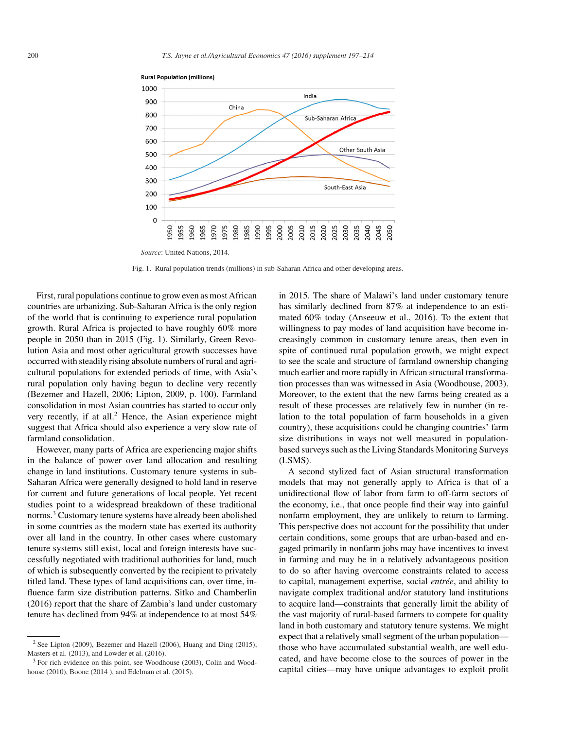

**Rural Population (millions)** 

Fig. 1. Rural population trends (millions) in sub-Saharan Africa and other developing areas.

First, rural populations continue to grow even as most African countries are urbanizing. Sub-Saharan Africa is the only region of the world that is continuing to experience rural population growth. Rural Africa is projected to have roughly 60% more people in 2050 than in 2015 (Fig. 1). Similarly, Green Revolution Asia and most other agricultural growth successes have occurred with steadily rising absolute numbers of rural and agricultural populations for extended periods of time, with Asia's rural population only having begun to decline very recently (Bezemer and Hazell, 2006; Lipton, 2009, p. 100). Farmland consolidation in most Asian countries has started to occur only very recently, if at all. $<sup>2</sup>$  Hence, the Asian experience might</sup> suggest that Africa should also experience a very slow rate of farmland consolidation.

However, many parts of Africa are experiencing major shifts in the balance of power over land allocation and resulting change in land institutions. Customary tenure systems in sub-Saharan Africa were generally designed to hold land in reserve for current and future generations of local people. Yet recent studies point to a widespread breakdown of these traditional norms.<sup>3</sup> Customary tenure systems have already been abolished in some countries as the modern state has exerted its authority over all land in the country. In other cases where customary tenure systems still exist, local and foreign interests have successfully negotiated with traditional authorities for land, much of which is subsequently converted by the recipient to privately titled land. These types of land acquisitions can, over time, influence farm size distribution patterns. Sitko and Chamberlin (2016) report that the share of Zambia's land under customary tenure has declined from 94% at independence to at most 54%

in 2015. The share of Malawi's land under customary tenure has similarly declined from 87% at independence to an estimated 60% today (Anseeuw et al., 2016). To the extent that willingness to pay modes of land acquisition have become increasingly common in customary tenure areas, then even in spite of continued rural population growth, we might expect to see the scale and structure of farmland ownership changing much earlier and more rapidly in African structural transformation processes than was witnessed in Asia (Woodhouse, 2003). Moreover, to the extent that the new farms being created as a result of these processes are relatively few in number (in relation to the total population of farm households in a given country), these acquisitions could be changing countries' farm size distributions in ways not well measured in populationbased surveys such as the Living Standards Monitoring Surveys (LSMS).

A second stylized fact of Asian structural transformation models that may not generally apply to Africa is that of a unidirectional flow of labor from farm to off-farm sectors of the economy, i.e., that once people find their way into gainful nonfarm employment, they are unlikely to return to farming. This perspective does not account for the possibility that under certain conditions, some groups that are urban-based and engaged primarily in nonfarm jobs may have incentives to invest in farming and may be in a relatively advantageous position to do so after having overcome constraints related to access to capital, management expertise, social *entrée*, and ability to navigate complex traditional and/or statutory land institutions to acquire land—constraints that generally limit the ability of the vast majority of rural-based farmers to compete for quality land in both customary and statutory tenure systems. We might expect that a relatively small segment of the urban population those who have accumulated substantial wealth, are well educated, and have become close to the sources of power in the capital cities—may have unique advantages to exploit profit

<sup>2</sup> See Lipton (2009), Bezemer and Hazell (2006), Huang and Ding (2015), Masters et al. (2013), and Lowder et al. (2016).

<sup>&</sup>lt;sup>3</sup> For rich evidence on this point, see Woodhouse (2003), Colin and Woodhouse (2010), Boone (2014 ), and Edelman et al. (2015).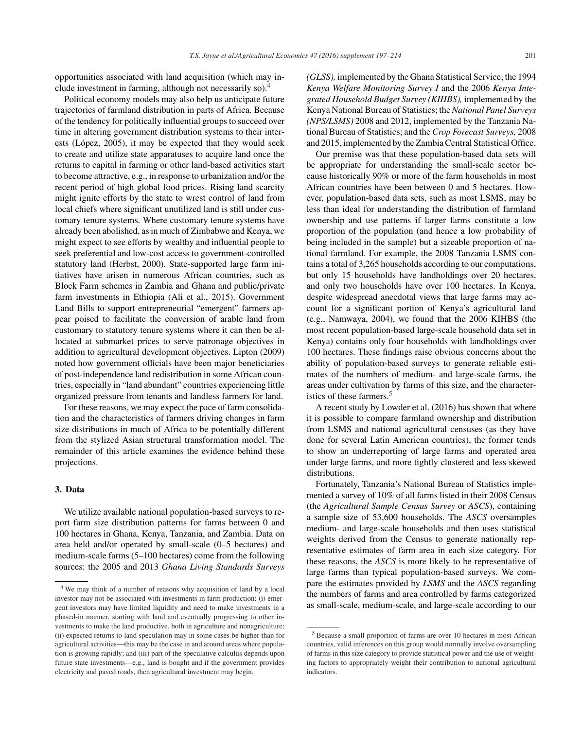opportunities associated with land acquisition (which may include investment in farming, although not necessarily so).4

Political economy models may also help us anticipate future trajectories of farmland distribution in parts of Africa. Because of the tendency for politically influential groups to succeed over time in altering government distribution systems to their interests (López,  $2005$ ), it may be expected that they would seek to create and utilize state apparatuses to acquire land once the returns to capital in farming or other land-based activities start to become attractive, e.g., in response to urbanization and/or the recent period of high global food prices. Rising land scarcity might ignite efforts by the state to wrest control of land from local chiefs where significant unutilized land is still under customary tenure systems. Where customary tenure systems have already been abolished, as in much of Zimbabwe and Kenya, we might expect to see efforts by wealthy and influential people to seek preferential and low-cost access to government-controlled statutory land (Herbst, 2000). State-supported large farm initiatives have arisen in numerous African countries, such as Block Farm schemes in Zambia and Ghana and public/private farm investments in Ethiopia (Ali et al., 2015). Government Land Bills to support entrepreneurial "emergent" farmers appear poised to facilitate the conversion of arable land from customary to statutory tenure systems where it can then be allocated at submarket prices to serve patronage objectives in addition to agricultural development objectives. Lipton (2009) noted how government officials have been major beneficiaries of post-independence land redistribution in some African countries, especially in "land abundant" countries experiencing little organized pressure from tenants and landless farmers for land.

For these reasons, we may expect the pace of farm consolidation and the characteristics of farmers driving changes in farm size distributions in much of Africa to be potentially different from the stylized Asian structural transformation model. The remainder of this article examines the evidence behind these projections.

## **3. Data**

We utilize available national population-based surveys to report farm size distribution patterns for farms between 0 and 100 hectares in Ghana, Kenya, Tanzania, and Zambia. Data on area held and/or operated by small-scale (0–5 hectares) and medium-scale farms (5–100 hectares) come from the following sources: the 2005 and 2013 *Ghana Living Standards Surveys* *(GLSS),* implemented by the Ghana Statistical Service; the 1994 *Kenya Welfare Monitoring Survey I* and the 2006 *Kenya Integrated Household Budget Survey (KIHBS),* implemented by the Kenya National Bureau of Statistics; the *National Panel Surveys (NPS/LSMS)* 2008 and 2012, implemented by the Tanzania National Bureau of Statistics; and the *Crop Forecast Surveys,* 2008 and 2015, implemented by the Zambia Central Statistical Office.

Our premise was that these population-based data sets will be appropriate for understanding the small-scale sector because historically 90% or more of the farm households in most African countries have been between 0 and 5 hectares. However, population-based data sets, such as most LSMS, may be less than ideal for understanding the distribution of farmland ownership and use patterns if larger farms constitute a low proportion of the population (and hence a low probability of being included in the sample) but a sizeable proportion of national farmland. For example, the 2008 Tanzania LSMS contains a total of 3,265 households according to our computations, but only 15 households have landholdings over 20 hectares, and only two households have over 100 hectares. In Kenya, despite widespread anecdotal views that large farms may account for a significant portion of Kenya's agricultural land (e.g., Namwaya, 2004), we found that the 2006 KIHBS (the most recent population-based large-scale household data set in Kenya) contains only four households with landholdings over 100 hectares. These findings raise obvious concerns about the ability of population-based surveys to generate reliable estimates of the numbers of medium- and large-scale farms, the areas under cultivation by farms of this size, and the characteristics of these farmers.<sup>5</sup>

A recent study by Lowder et al. (2016) has shown that where it is possible to compare farmland ownership and distribution from LSMS and national agricultural censuses (as they have done for several Latin American countries), the former tends to show an underreporting of large farms and operated area under large farms, and more tightly clustered and less skewed distributions.

Fortunately, Tanzania's National Bureau of Statistics implemented a survey of 10% of all farms listed in their 2008 Census (the *Agricultural Sample Census Survey* or *ASCS*), containing a sample size of 53,600 households. The *ASCS* oversamples medium- and large-scale households and then uses statistical weights derived from the Census to generate nationally representative estimates of farm area in each size category. For these reasons, the *ASCS* is more likely to be representative of large farms than typical population-based surveys. We compare the estimates provided by *LSMS* and the *ASCS* regarding the numbers of farms and area controlled by farms categorized as small-scale, medium-scale, and large-scale according to our

<sup>4</sup> We may think of a number of reasons why acquisition of land by a local investor may not be associated with investments in farm production: (i) emergent investors may have limited liquidity and need to make investments in a phased-in manner, starting with land and eventually progressing to other investments to make the land productive, both in agriculture and nonagriculture; (ii) expected returns to land speculation may in some cases be higher than for agricultural activities—this may be the case in and around areas where population is growing rapidly; and (iii) part of the speculative calculus depends upon future state investments—e.g., land is bought and if the government provides electricity and paved roads, then agricultural investment may begin.

<sup>5</sup> Because a small proportion of farms are over 10 hectares in most African countries, valid inferences on this group would normally involve oversampling of farms in this size category to provide statistical power and the use of weighting factors to appropriately weight their contribution to national agricultural indicators.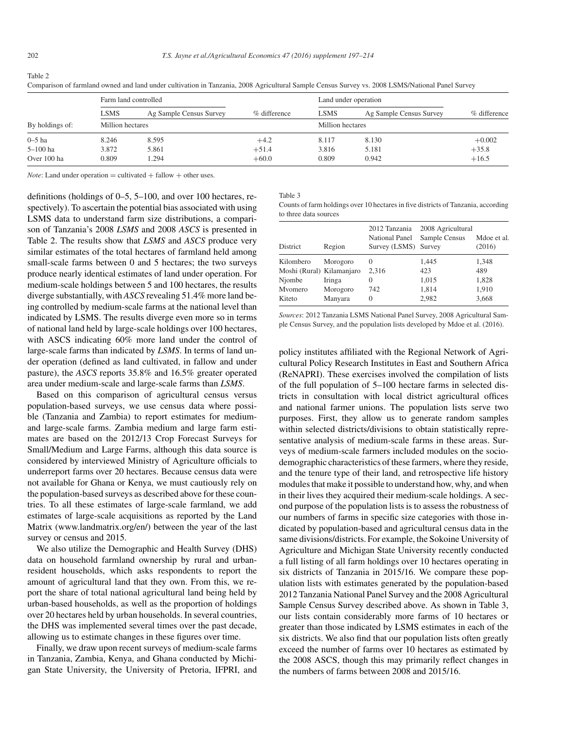Table 2

|                 | Farm land controlled |                         |              | Land under operation |                         |              |
|-----------------|----------------------|-------------------------|--------------|----------------------|-------------------------|--------------|
|                 | <b>LSMS</b>          | Ag Sample Census Survey | % difference | <b>LSMS</b>          | Ag Sample Census Survey | % difference |
| By holdings of: | Million hectares     |                         |              | Million hectares     |                         |              |
| $0-5$ ha        | 8.246                | 8.595                   | $+4.2$       | 8.117                | 8.130                   | $+0.002$     |
| 5–100 ha        | 3.872                | 5.861                   | $+51.4$      | 3.816                | 5.181                   | $+35.8$      |
| Over 100 ha     | 0.809                | .294                    | $+60.0$      | 0.809                | 0.942                   | $+16.5$      |

Comparison of farmland owned and land under cultivation in Tanzania, 2008 Agricultural Sample Census Survey vs. 2008 LSMS/National Panel Survey

*Note*: Land under operation  $=$  cultivated  $+$  fallow  $+$  other uses.

definitions (holdings of 0–5, 5–100, and over 100 hectares, respectively). To ascertain the potential bias associated with using LSMS data to understand farm size distributions, a comparison of Tanzania's 2008 *LSMS* and 2008 *ASCS* is presented in Table 2. The results show that *LSMS* and *ASCS* produce very similar estimates of the total hectares of farmland held among small-scale farms between 0 and 5 hectares; the two surveys produce nearly identical estimates of land under operation. For medium-scale holdings between 5 and 100 hectares, the results diverge substantially, with *ASCS* revealing 51.4% more land being controlled by medium-scale farms at the national level than indicated by LSMS. The results diverge even more so in terms of national land held by large-scale holdings over 100 hectares, with ASCS indicating 60% more land under the control of large-scale farms than indicated by *LSMS*. In terms of land under operation (defined as land cultivated, in fallow and under pasture), the *ASCS* reports 35.8% and 16.5% greater operated area under medium-scale and large-scale farms than *LSMS*.

Based on this comparison of agricultural census versus population-based surveys, we use census data where possible (Tanzania and Zambia) to report estimates for mediumand large-scale farms. Zambia medium and large farm estimates are based on the 2012/13 Crop Forecast Surveys for Small/Medium and Large Farms, although this data source is considered by interviewed Ministry of Agriculture officials to underreport farms over 20 hectares. Because census data were not available for Ghana or Kenya, we must cautiously rely on the population-based surveys as described above for these countries. To all these estimates of large-scale farmland, we add estimates of large-scale acquisitions as reported by the Land Matrix (www.landmatrix.org/en/) between the year of the last survey or census and 2015.

We also utilize the Demographic and Health Survey (DHS) data on household farmland ownership by rural and urbanresident households, which asks respondents to report the amount of agricultural land that they own. From this, we report the share of total national agricultural land being held by urban-based households, as well as the proportion of holdings over 20 hectares held by urban households. In several countries, the DHS was implemented several times over the past decade, allowing us to estimate changes in these figures over time.

Finally, we draw upon recent surveys of medium-scale farms in Tanzania, Zambia, Kenya, and Ghana conducted by Michigan State University, the University of Pretoria, IFPRI, and Table 3

Counts of farm holdings over 10 hectares in five districts of Tanzania, according to three data sources

| <b>District</b>           | Region   | 2012 Tanzania<br>National Panel<br>Survey (LSMS) Survey | 2008 Agricultural<br>Sample Census | Mdoe et al.<br>(2016) |
|---------------------------|----------|---------------------------------------------------------|------------------------------------|-----------------------|
| Kilombero                 | Morogoro | $\theta$                                                | 1,445                              | 1,348                 |
| Moshi (Rural) Kilamanjaro |          | 2.316                                                   | 423                                | 489                   |
| Njombe                    | Iringa   | $\theta$                                                | 1,015                              | 1,828                 |
| Myomero                   | Morogoro | 742                                                     | 1,814                              | 1,910                 |
| Kiteto                    | Manyara  | $\Omega$                                                | 2,982                              | 3,668                 |

*Sources*: 2012 Tanzania LSMS National Panel Survey, 2008 Agricultural Sample Census Survey, and the population lists developed by Mdoe et al. (2016).

policy institutes affiliated with the Regional Network of Agricultural Policy Research Institutes in East and Southern Africa (ReNAPRI). These exercises involved the compilation of lists of the full population of 5–100 hectare farms in selected districts in consultation with local district agricultural offices and national farmer unions. The population lists serve two purposes. First, they allow us to generate random samples within selected districts/divisions to obtain statistically representative analysis of medium-scale farms in these areas. Surveys of medium-scale farmers included modules on the sociodemographic characteristics of these farmers, where they reside, and the tenure type of their land, and retrospective life history modules that make it possible to understand how, why, and when in their lives they acquired their medium-scale holdings. A second purpose of the population lists is to assess the robustness of our numbers of farms in specific size categories with those indicated by population-based and agricultural census data in the same divisions/districts. For example, the Sokoine University of Agriculture and Michigan State University recently conducted a full listing of all farm holdings over 10 hectares operating in six districts of Tanzania in 2015/16. We compare these population lists with estimates generated by the population-based 2012 Tanzania National Panel Survey and the 2008 Agricultural Sample Census Survey described above. As shown in Table 3, our lists contain considerably more farms of 10 hectares or greater than those indicated by LSMS estimates in each of the six districts. We also find that our population lists often greatly exceed the number of farms over 10 hectares as estimated by the 2008 ASCS, though this may primarily reflect changes in the numbers of farms between 2008 and 2015/16.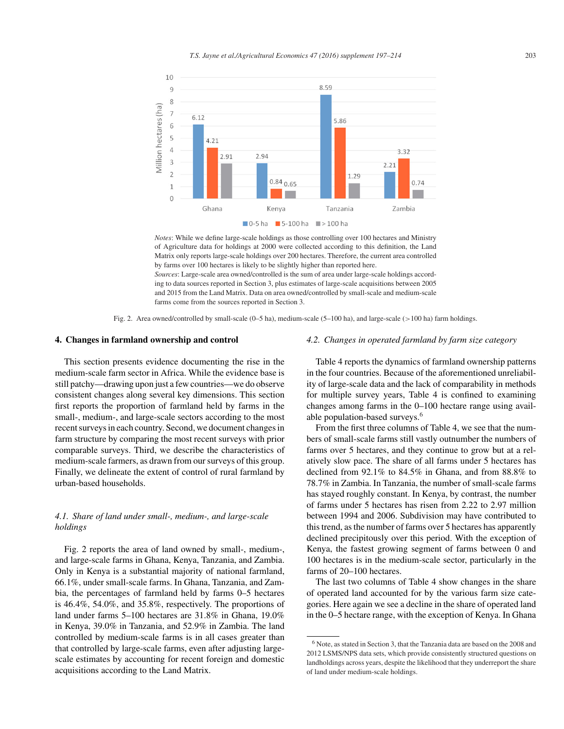

*Notes*: While we define large-scale holdings as those controlling over 100 hectares and Ministry of Agriculture data for holdings at 2000 were collected according to this definition, the Land Matrix only reports large-scale holdings over 200 hectares. Therefore, the current area controlled by farms over 100 hectares is likely to be slightly higher than reported here. *Sources*: Large-scale area owned/controlled is the sum of area under large-scale holdings according to data sources reported in Section 3, plus estimates of large-scale acquisitions between 2005 and 2015 from the Land Matrix. Data on area owned/controlled by small-scale and medium-scale

Fig. 2. Area owned/controlled by small-scale (0–5 ha), medium-scale (5–100 ha), and large-scale (*>*100 ha) farm holdings.

farms come from the sources reported in Section 3.

## **4. Changes in farmland ownership and control**

This section presents evidence documenting the rise in the medium-scale farm sector in Africa. While the evidence base is still patchy—drawing upon just a few countries—we do observe consistent changes along several key dimensions. This section first reports the proportion of farmland held by farms in the small-, medium-, and large-scale sectors according to the most recent surveys in each country. Second, we document changes in farm structure by comparing the most recent surveys with prior comparable surveys. Third, we describe the characteristics of medium-scale farmers, as drawn from our surveys of this group. Finally, we delineate the extent of control of rural farmland by urban-based households.

## *4.1. Share of land under small-, medium-, and large-scale holdings*

Fig. 2 reports the area of land owned by small-, medium-, and large-scale farms in Ghana, Kenya, Tanzania, and Zambia. Only in Kenya is a substantial majority of national farmland, 66.1%, under small-scale farms. In Ghana, Tanzania, and Zambia, the percentages of farmland held by farms 0–5 hectares is 46.4%, 54.0%, and 35.8%, respectively. The proportions of land under farms 5–100 hectares are 31.8% in Ghana, 19.0% in Kenya, 39.0% in Tanzania, and 52.9% in Zambia. The land controlled by medium-scale farms is in all cases greater than that controlled by large-scale farms, even after adjusting largescale estimates by accounting for recent foreign and domestic acquisitions according to the Land Matrix.

## *4.2. Changes in operated farmland by farm size category*

Table 4 reports the dynamics of farmland ownership patterns in the four countries. Because of the aforementioned unreliability of large-scale data and the lack of comparability in methods for multiple survey years, Table 4 is confined to examining changes among farms in the 0–100 hectare range using available population-based surveys.<sup>6</sup>

From the first three columns of Table 4, we see that the numbers of small-scale farms still vastly outnumber the numbers of farms over 5 hectares, and they continue to grow but at a relatively slow pace. The share of all farms under 5 hectares has declined from 92.1% to 84.5% in Ghana, and from 88.8% to 78.7% in Zambia. In Tanzania, the number of small-scale farms has stayed roughly constant. In Kenya, by contrast, the number of farms under 5 hectares has risen from 2.22 to 2.97 million between 1994 and 2006. Subdivision may have contributed to this trend, as the number of farms over 5 hectares has apparently declined precipitously over this period. With the exception of Kenya, the fastest growing segment of farms between 0 and 100 hectares is in the medium-scale sector, particularly in the farms of 20–100 hectares.

The last two columns of Table 4 show changes in the share of operated land accounted for by the various farm size categories. Here again we see a decline in the share of operated land in the 0–5 hectare range, with the exception of Kenya. In Ghana

<sup>6</sup> Note, as stated in Section 3, that the Tanzania data are based on the 2008 and 2012 LSMS/NPS data sets, which provide consistently structured questions on landholdings across years, despite the likelihood that they underreport the share of land under medium-scale holdings.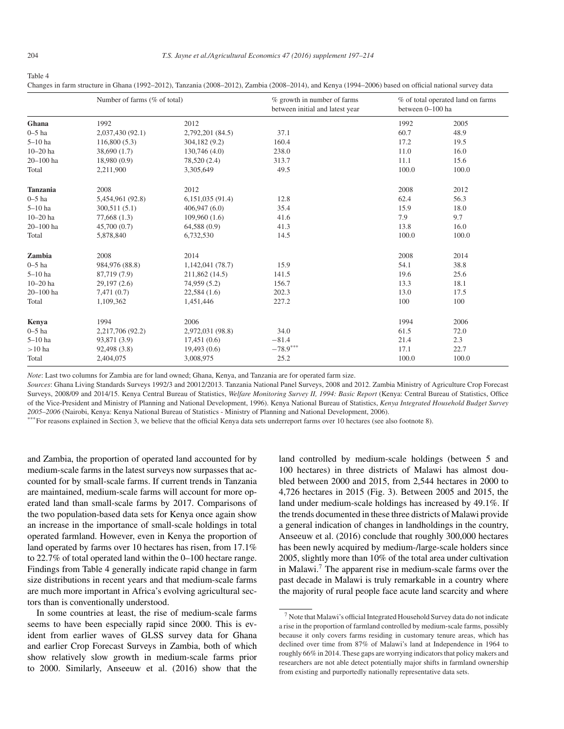#### Table 4

Changes in farm structure in Ghana (1992–2012), Tanzania (2008–2012), Zambia (2008–2014), and Kenya (1994–2006) based on official national survey data

| Number of farms (% of total) |                  |                  | % growth in number of farms<br>between initial and latest year | % of total operated land on farms<br>between 0-100 ha |       |
|------------------------------|------------------|------------------|----------------------------------------------------------------|-------------------------------------------------------|-------|
| Ghana                        | 1992             | 2012             |                                                                | 1992                                                  | 2005  |
| $0-5$ ha                     | 2,037,430 (92.1) | 2,792,201 (84.5) | 37.1                                                           | 60.7                                                  | 48.9  |
| $5-10$ ha                    | 116,800(5.3)     | 304,182 (9.2)    | 160.4                                                          | 17.2                                                  | 19.5  |
| $10 - 20$ ha                 | 38,690(1.7)      | 130,746 (4.0)    | 238.0                                                          | 11.0                                                  | 16.0  |
| $20 - 100$ ha                | 18,980(0.9)      | 78,520 (2.4)     | 313.7                                                          | 11.1                                                  | 15.6  |
| Total                        | 2,211,900        | 3,305,649        | 49.5                                                           | 100.0                                                 | 100.0 |
| <b>Tanzania</b>              | 2008             | 2012             |                                                                | 2008                                                  | 2012  |
| $0 - 5$ ha                   | 5,454,961 (92.8) | 6,151,035(91.4)  | 12.8                                                           | 62.4                                                  | 56.3  |
| $5-10$ ha                    | 300,511(5.1)     | 406,947(6.0)     | 35.4                                                           | 15.9                                                  | 18.0  |
| $10 - 20$ ha                 | 77,668(1.3)      | 109,960(1.6)     | 41.6                                                           | 7.9                                                   | 9.7   |
| $20 - 100$ ha                | 45,700(0.7)      | 64,588 (0.9)     | 41.3                                                           | 13.8                                                  | 16.0  |
| Total                        | 5,878,840        | 6,732,530        | 14.5                                                           | 100.0                                                 | 100.0 |
| Zambia                       | 2008             | 2014             |                                                                | 2008                                                  | 2014  |
| $0 - 5$ ha                   | 984,976 (88.8)   | 1,142,041 (78.7) | 15.9                                                           | 54.1                                                  | 38.8  |
| $5-10$ ha                    | 87,719 (7.9)     | 211,862 (14.5)   | 141.5                                                          | 19.6                                                  | 25.6  |
| $10 - 20$ ha                 | 29,197(2.6)      | 74,959 (5.2)     | 156.7                                                          | 13.3                                                  | 18.1  |
| $20 - 100$ ha                | 7,471(0.7)       | 22,584(1.6)      | 202.3                                                          | 13.0                                                  | 17.5  |
| Total                        | 1,109,362        | 1,451,446        | 227.2                                                          | 100                                                   | 100   |
| Kenya                        | 1994             | 2006             |                                                                | 1994                                                  | 2006  |
| $0-5$ ha                     | 2,217,706 (92.2) | 2,972,031 (98.8) | 34.0                                                           | 61.5                                                  | 72.0  |
| $5-10$ ha                    | 93,871 (3.9)     | 17,451(0.6)      | $-81.4$                                                        | 21.4                                                  | 2.3   |
| $>10$ ha                     | 92,498 (3.8)     | 19,493(0.6)      | $-78.9***$                                                     | 17.1                                                  | 22.7  |
| Total                        | 2,404,075        | 3,008,975        | 25.2                                                           | 100.0                                                 | 100.0 |

*Note*: Last two columns for Zambia are for land owned; Ghana, Kenya, and Tanzania are for operated farm size.

*Sources*: Ghana Living Standards Surveys 1992/3 and 20012/2013. Tanzania National Panel Surveys, 2008 and 2012. Zambia Ministry of Agriculture Crop Forecast Surveys, 2008/09 and 2014/15. Kenya Central Bureau of Statistics, *Welfare Monitoring Survey II, 1994: Basic Report* (Kenya: Central Bureau of Statistics, Office of the Vice-President and Ministry of Planning and National Development, 1996). Kenya National Bureau of Statistics, *Kenya Integrated Household Budget Survey 2005–2006* (Nairobi, Kenya: Kenya National Bureau of Statistics - Ministry of Planning and National Development, 2006).

\*\*\* For reasons explained in Section 3, we believe that the official Kenya data sets underreport farms over 10 hectares (see also footnote 8).

and Zambia, the proportion of operated land accounted for by medium-scale farms in the latest surveys now surpasses that accounted for by small-scale farms. If current trends in Tanzania are maintained, medium-scale farms will account for more operated land than small-scale farms by 2017. Comparisons of the two population-based data sets for Kenya once again show an increase in the importance of small-scale holdings in total operated farmland. However, even in Kenya the proportion of land operated by farms over 10 hectares has risen, from 17.1% to 22.7% of total operated land within the 0–100 hectare range. Findings from Table 4 generally indicate rapid change in farm size distributions in recent years and that medium-scale farms are much more important in Africa's evolving agricultural sectors than is conventionally understood.

In some countries at least, the rise of medium-scale farms seems to have been especially rapid since 2000. This is evident from earlier waves of GLSS survey data for Ghana and earlier Crop Forecast Surveys in Zambia, both of which show relatively slow growth in medium-scale farms prior to 2000. Similarly, Anseeuw et al. (2016) show that the

land controlled by medium-scale holdings (between 5 and 100 hectares) in three districts of Malawi has almost doubled between 2000 and 2015, from 2,544 hectares in 2000 to 4,726 hectares in 2015 (Fig. 3). Between 2005 and 2015, the land under medium-scale holdings has increased by 49.1%. If the trends documented in these three districts of Malawi provide a general indication of changes in landholdings in the country, Anseeuw et al. (2016) conclude that roughly 300,000 hectares has been newly acquired by medium-/large-scale holders since 2005, slightly more than 10% of the total area under cultivation in Malawi.<sup>7</sup> The apparent rise in medium-scale farms over the past decade in Malawi is truly remarkable in a country where the majority of rural people face acute land scarcity and where

<sup>7</sup> Note that Malawi's official Integrated Household Survey data do not indicate a rise in the proportion of farmland controlled by medium-scale farms, possibly because it only covers farms residing in customary tenure areas, which has declined over time from 87% of Malawi's land at Independence in 1964 to roughly 66% in 2014. These gaps are worrying indicators that policy makers and researchers are not able detect potentially major shifts in farmland ownership from existing and purportedly nationally representative data sets.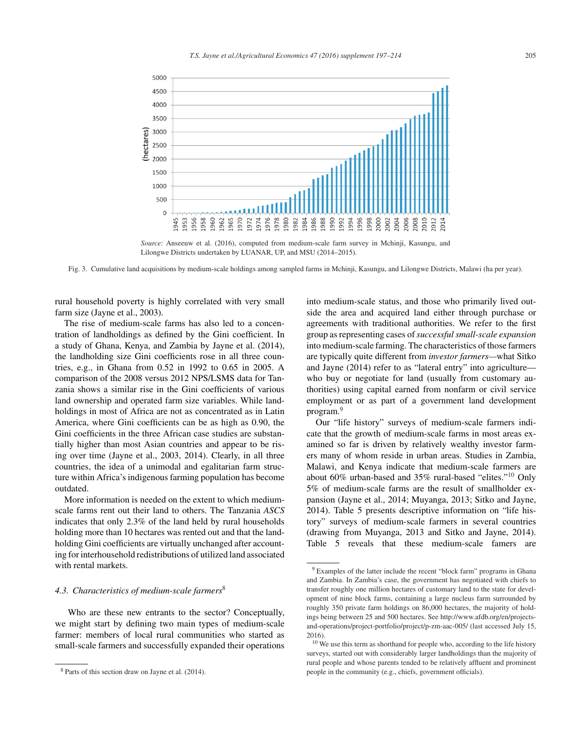

*Source*: Anseeuw et al. (2016), computed from medium-scale farm survey in Mchinji, Kasungu, and Lilongwe Districts undertaken by LUANAR, UP, and MSU (2014–2015).

Fig. 3. Cumulative land acquisitions by medium-scale holdings among sampled farms in Mchinji, Kasungu, and Lilongwe Districts, Malawi (ha per year).

rural household poverty is highly correlated with very small farm size (Jayne et al., 2003).

The rise of medium-scale farms has also led to a concentration of landholdings as defined by the Gini coefficient. In a study of Ghana, Kenya, and Zambia by Jayne et al. (2014), the landholding size Gini coefficients rose in all three countries, e.g., in Ghana from 0.52 in 1992 to 0.65 in 2005. A comparison of the 2008 versus 2012 NPS/LSMS data for Tanzania shows a similar rise in the Gini coefficients of various land ownership and operated farm size variables. While landholdings in most of Africa are not as concentrated as in Latin America, where Gini coefficients can be as high as 0.90, the Gini coefficients in the three African case studies are substantially higher than most Asian countries and appear to be rising over time (Jayne et al., 2003, 2014). Clearly, in all three countries, the idea of a unimodal and egalitarian farm structure within Africa's indigenous farming population has become outdated.

More information is needed on the extent to which mediumscale farms rent out their land to others. The Tanzania *ASCS* indicates that only 2.3% of the land held by rural households holding more than 10 hectares was rented out and that the landholding Gini coefficients are virtually unchanged after accounting for interhousehold redistributions of utilized land associated with rental markets.

## *4.3. Characteristics of medium-scale farmers*<sup>8</sup>

Who are these new entrants to the sector? Conceptually, we might start by defining two main types of medium-scale farmer: members of local rural communities who started as small-scale farmers and successfully expanded their operations

into medium-scale status, and those who primarily lived outside the area and acquired land either through purchase or agreements with traditional authorities. We refer to the first group as representing cases of*successful small-scale expansion* into medium-scale farming. The characteristics of those farmers are typically quite different from *investor farmers—*what Sitko and Jayne (2014) refer to as "lateral entry" into agriculture who buy or negotiate for land (usually from customary authorities) using capital earned from nonfarm or civil service employment or as part of a government land development program.<sup>9</sup>

Our "life history" surveys of medium-scale farmers indicate that the growth of medium-scale farms in most areas examined so far is driven by relatively wealthy investor farmers many of whom reside in urban areas. Studies in Zambia, Malawi, and Kenya indicate that medium-scale farmers are about 60% urban-based and 35% rural-based "elites."<sup>10</sup> Only 5% of medium-scale farms are the result of smallholder expansion (Jayne et al., 2014; Muyanga, 2013; Sitko and Jayne, 2014). Table 5 presents descriptive information on "life history" surveys of medium-scale farmers in several countries (drawing from Muyanga, 2013 and Sitko and Jayne, 2014). Table 5 reveals that these medium-scale famers are

<sup>8</sup> Parts of this section draw on Jayne et al. (2014).

<sup>9</sup> Examples of the latter include the recent "block farm" programs in Ghana and Zambia. In Zambia's case, the government has negotiated with chiefs to transfer roughly one million hectares of customary land to the state for development of nine block farms, containing a large nucleus farm surrounded by roughly 350 private farm holdings on 86,000 hectares, the majority of holdings being between 25 and 500 hectares. See http://www.afdb.org/en/projectsand-operations/project-portfolio/project/p-zm-aac-005/ (last accessed July 15, 2016).

<sup>&</sup>lt;sup>10</sup> We use this term as shorthand for people who, according to the life history surveys, started out with considerably larger landholdings than the majority of rural people and whose parents tended to be relatively affluent and prominent people in the community (e.g., chiefs, government officials).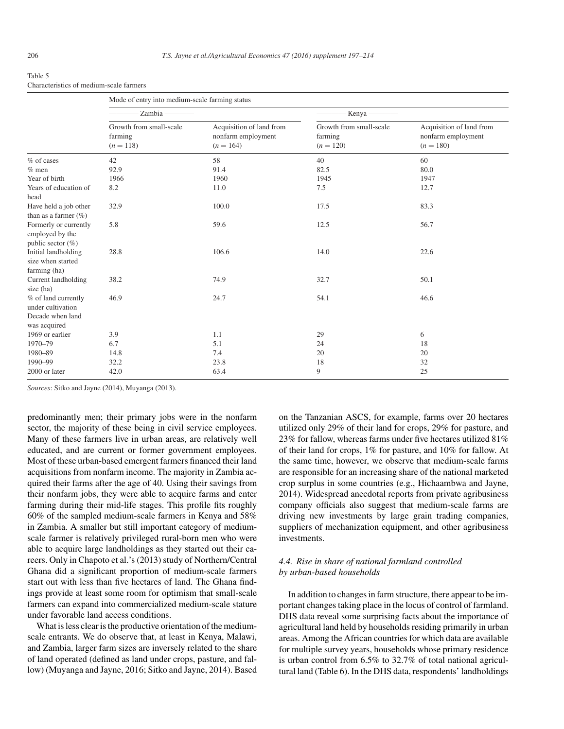| . .<br>۰,<br>×<br>۰.<br>×<br>٠ |  |
|--------------------------------|--|
|--------------------------------|--|

Characteristics of medium-scale farmers

|                                                                   | Mode of entry into medium-scale farming status    |                                                               |                                                   |                                                               |
|-------------------------------------------------------------------|---------------------------------------------------|---------------------------------------------------------------|---------------------------------------------------|---------------------------------------------------------------|
|                                                                   | Zambia-                                           |                                                               | Kenya-                                            |                                                               |
|                                                                   | Growth from small-scale<br>farming<br>$(n = 118)$ | Acquisition of land from<br>nonfarm employment<br>$(n = 164)$ | Growth from small-scale<br>farming<br>$(n = 120)$ | Acquisition of land from<br>nonfarm employment<br>$(n = 180)$ |
| % of cases                                                        | 42                                                | 58                                                            | 40                                                | 60                                                            |
| $%$ men                                                           | 92.9                                              | 91.4                                                          | 82.5                                              | 80.0                                                          |
| Year of birth                                                     | 1966                                              | 1960                                                          | 1945                                              | 1947                                                          |
| Years of education of<br>head                                     | 8.2                                               | 11.0                                                          | 7.5                                               | 12.7                                                          |
| Have held a job other<br>than as a farmer $(\% )$                 | 32.9                                              | 100.0                                                         | 17.5                                              | 83.3                                                          |
| Formerly or currently<br>employed by the<br>public sector $(\% )$ | 5.8                                               | 59.6                                                          | 12.5                                              | 56.7                                                          |
| Initial landholding<br>size when started<br>farming (ha)          | 28.8                                              | 106.6                                                         | 14.0                                              | 22.6                                                          |
| Current landholding<br>size (ha)                                  | 38.2                                              | 74.9                                                          | 32.7                                              | 50.1                                                          |
| % of land currently<br>under cultivation<br>Decade when land      | 46.9                                              | 24.7                                                          | 54.1                                              | 46.6                                                          |
| was acquired                                                      |                                                   |                                                               |                                                   |                                                               |
| 1969 or earlier                                                   | 3.9                                               | 1.1                                                           | 29                                                | 6                                                             |
| 1970-79                                                           | 6.7                                               | 5.1                                                           | 24                                                | 18                                                            |
| 1980-89                                                           | 14.8                                              | 7.4                                                           | 20                                                | 20                                                            |
| 1990-99                                                           | 32.2                                              | 23.8                                                          | 18                                                | 32                                                            |
| 2000 or later                                                     | 42.0                                              | 63.4                                                          | 9                                                 | 25                                                            |

*Sources*: Sitko and Jayne (2014), Muyanga (2013).

predominantly men; their primary jobs were in the nonfarm sector, the majority of these being in civil service employees. Many of these farmers live in urban areas, are relatively well educated, and are current or former government employees. Most of these urban-based emergent farmers financed their land acquisitions from nonfarm income. The majority in Zambia acquired their farms after the age of 40. Using their savings from their nonfarm jobs, they were able to acquire farms and enter farming during their mid-life stages. This profile fits roughly 60% of the sampled medium-scale farmers in Kenya and 58% in Zambia. A smaller but still important category of mediumscale farmer is relatively privileged rural-born men who were able to acquire large landholdings as they started out their careers. Only in Chapoto et al.'s (2013) study of Northern/Central Ghana did a significant proportion of medium-scale farmers start out with less than five hectares of land. The Ghana findings provide at least some room for optimism that small-scale farmers can expand into commercialized medium-scale stature under favorable land access conditions.

What is less clear is the productive orientation of the mediumscale entrants. We do observe that, at least in Kenya, Malawi, and Zambia, larger farm sizes are inversely related to the share of land operated (defined as land under crops, pasture, and fallow) (Muyanga and Jayne, 2016; Sitko and Jayne, 2014). Based on the Tanzanian ASCS, for example, farms over 20 hectares utilized only 29% of their land for crops, 29% for pasture, and 23% for fallow, whereas farms under five hectares utilized 81% of their land for crops, 1% for pasture, and 10% for fallow. At the same time, however, we observe that medium-scale farms are responsible for an increasing share of the national marketed crop surplus in some countries (e.g., Hichaambwa and Jayne, 2014). Widespread anecdotal reports from private agribusiness company officials also suggest that medium-scale farms are driving new investments by large grain trading companies, suppliers of mechanization equipment, and other agribusiness investments.

## *4.4. Rise in share of national farmland controlled by urban-based households*

In addition to changes in farm structure, there appear to be important changes taking place in the locus of control of farmland. DHS data reveal some surprising facts about the importance of agricultural land held by households residing primarily in urban areas. Among the African countries for which data are available for multiple survey years, households whose primary residence is urban control from 6.5% to 32.7% of total national agricultural land (Table 6). In the DHS data, respondents' landholdings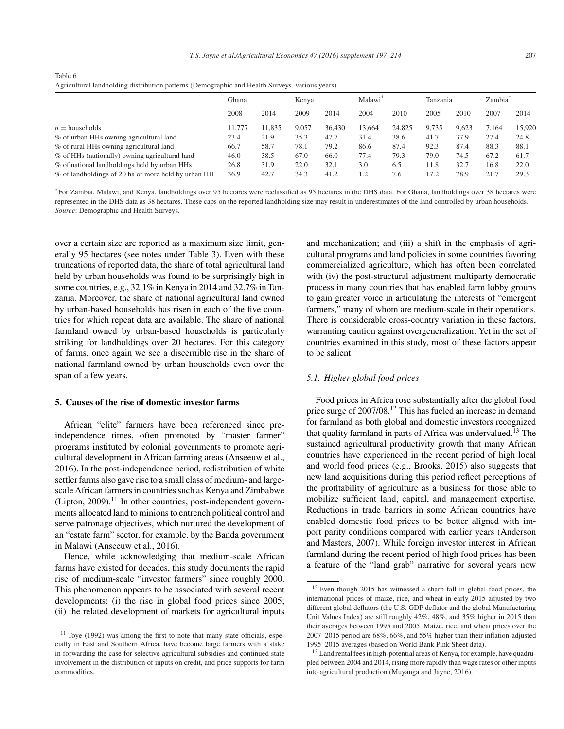| reflictuudi lahulolulig uistrivation pauerns (Demographic and Fleath Surveys, various years) |        |        |       |        |                     |        |          |       |                     |        |
|----------------------------------------------------------------------------------------------|--------|--------|-------|--------|---------------------|--------|----------|-------|---------------------|--------|
|                                                                                              | Ghana  |        | Kenva |        | Malawi <sup>*</sup> |        | Tanzania |       | Zambia <sup>®</sup> |        |
|                                                                                              | 2008   | 2014   | 2009  | 2014   | 2004                | 2010   | 2005     | 2010  | 2007                | 2014   |
| $n =$ households                                                                             | 11.777 | 11.835 | 9.057 | 36,430 | 13.664              | 24.825 | 9.735    | 9.623 | 7.164               | 15,920 |
| % of urban HHs owning agricultural land                                                      | 23.4   | 21.9   | 35.3  | 47.7   | 31.4                | 38.6   | 41.7     | 37.9  | 27.4                | 24.8   |
| % of rural HHs owning agricultural land                                                      | 66.7   | 58.7   | 78.1  | 79.2   | 86.6                | 87.4   | 92.3     | 87.4  | 88.3                | 88.1   |
| % of HHs (nationally) owning agricultural land                                               | 46.0   | 38.5   | 67.0  | 66.0   | 77.4                | 79.3   | 79.0     | 74.5  | 67.2                | 61.7   |
| % of national landholdings held by urban HHs                                                 | 26.8   | 31.9   | 22.0  | 32.1   | 3.0                 | 6.5    | 11.8     | 32.7  | 16.8                | 22.0   |
| % of landholdings of 20 ha or more held by urban HH                                          | 36.9   | 42.7   | 34.3  | 41.2   | 1.2                 | 7.6    | 17.2     | 78.9  | 21.7                | 29.3   |

| Table 6                                                                                        |  |
|------------------------------------------------------------------------------------------------|--|
| Agricultural landholding distribution patterns (Demographic and Health Surveys, various years) |  |

\*For Zambia, Malawi, and Kenya, landholdings over 95 hectares were reclassified as 95 hectares in the DHS data. For Ghana, landholdings over 38 hectares were represented in the DHS data as 38 hectares. These caps on the reported landholding size may result in underestimates of the land controlled by urban households. *Source*: Demographic and Health Surveys.

over a certain size are reported as a maximum size limit, generally 95 hectares (see notes under Table 3). Even with these truncations of reported data, the share of total agricultural land held by urban households was found to be surprisingly high in some countries, e.g., 32.1% in Kenya in 2014 and 32.7% in Tanzania. Moreover, the share of national agricultural land owned by urban-based households has risen in each of the five countries for which repeat data are available. The share of national farmland owned by urban-based households is particularly striking for landholdings over 20 hectares. For this category of farms, once again we see a discernible rise in the share of national farmland owned by urban households even over the span of a few years.

### **5. Causes of the rise of domestic investor farms**

African "elite" farmers have been referenced since preindependence times, often promoted by "master farmer" programs instituted by colonial governments to promote agricultural development in African farming areas (Anseeuw et al., 2016). In the post-independence period, redistribution of white settler farms also gave rise to a small class of medium- and largescale African farmers in countries such as Kenya and Zimbabwe  $(Lipton, 2009).$ <sup>11</sup> In other countries, post-independent governments allocated land to minions to entrench political control and serve patronage objectives, which nurtured the development of an "estate farm" sector, for example, by the Banda government in Malawi (Anseeuw et al., 2016).

Hence, while acknowledging that medium-scale African farms have existed for decades, this study documents the rapid rise of medium-scale "investor farmers" since roughly 2000. This phenomenon appears to be associated with several recent developments: (i) the rise in global food prices since 2005; (ii) the related development of markets for agricultural inputs

and mechanization; and (iii) a shift in the emphasis of agricultural programs and land policies in some countries favoring commercialized agriculture, which has often been correlated with (iv) the post-structural adjustment multiparty democratic process in many countries that has enabled farm lobby groups to gain greater voice in articulating the interests of "emergent farmers," many of whom are medium-scale in their operations. There is considerable cross-country variation in these factors, warranting caution against overgeneralization. Yet in the set of countries examined in this study, most of these factors appear to be salient.

## *5.1. Higher global food prices*

Food prices in Africa rose substantially after the global food price surge of 2007/08.<sup>12</sup> This has fueled an increase in demand for farmland as both global and domestic investors recognized that quality farmland in parts of Africa was undervalued.<sup>13</sup> The sustained agricultural productivity growth that many African countries have experienced in the recent period of high local and world food prices (e.g., Brooks, 2015) also suggests that new land acquisitions during this period reflect perceptions of the profitability of agriculture as a business for those able to mobilize sufficient land, capital, and management expertise. Reductions in trade barriers in some African countries have enabled domestic food prices to be better aligned with import parity conditions compared with earlier years (Anderson and Masters, 2007). While foreign investor interest in African farmland during the recent period of high food prices has been a feature of the "land grab" narrative for several years now

<sup>11</sup> Toye (1992) was among the first to note that many state officials, especially in East and Southern Africa, have become large farmers with a stake in forwarding the case for selective agricultural subsidies and continued state involvement in the distribution of inputs on credit, and price supports for farm commodities.

<sup>12</sup> Even though 2015 has witnessed a sharp fall in global food prices, the international prices of maize, rice, and wheat in early 2015 adjusted by two different global deflators (the U.S. GDP deflator and the global Manufacturing Unit Values Index) are still roughly 42%, 48%, and 35% higher in 2015 than their averages between 1995 and 2005. Maize, rice, and wheat prices over the 2007–2015 period are 68%, 66%, and 55% higher than their inflation-adjusted 1995–2015 averages (based on World Bank Pink Sheet data).

<sup>&</sup>lt;sup>13</sup> Land rental fees in high-potential areas of Kenya, for example, have quadrupled between 2004 and 2014, rising more rapidly than wage rates or other inputs into agricultural production (Muyanga and Jayne, 2016).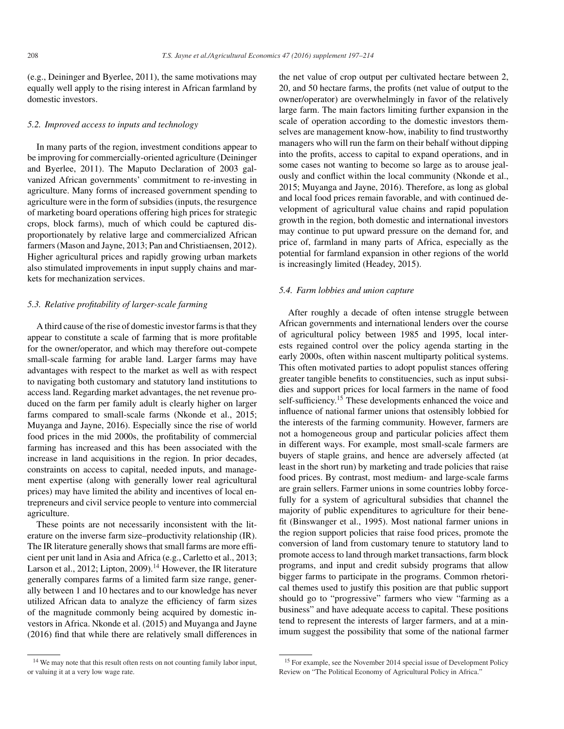(e.g., Deininger and Byerlee, 2011), the same motivations may equally well apply to the rising interest in African farmland by domestic investors.

### *5.2. Improved access to inputs and technology*

In many parts of the region, investment conditions appear to be improving for commercially-oriented agriculture (Deininger and Byerlee, 2011). The Maputo Declaration of 2003 galvanized African governments' commitment to re-investing in agriculture. Many forms of increased government spending to agriculture were in the form of subsidies (inputs, the resurgence of marketing board operations offering high prices for strategic crops, block farms), much of which could be captured disproportionately by relative large and commercialized African farmers (Mason and Jayne, 2013; Pan and Christiaensen, 2012). Higher agricultural prices and rapidly growing urban markets also stimulated improvements in input supply chains and markets for mechanization services.

## *5.3. Relative profitability of larger-scale farming*

A third cause of the rise of domestic investor farms is that they appear to constitute a scale of farming that is more profitable for the owner/operator, and which may therefore out-compete small-scale farming for arable land. Larger farms may have advantages with respect to the market as well as with respect to navigating both customary and statutory land institutions to access land. Regarding market advantages, the net revenue produced on the farm per family adult is clearly higher on larger farms compared to small-scale farms (Nkonde et al., 2015; Muyanga and Jayne, 2016). Especially since the rise of world food prices in the mid 2000s, the profitability of commercial farming has increased and this has been associated with the increase in land acquisitions in the region. In prior decades, constraints on access to capital, needed inputs, and management expertise (along with generally lower real agricultural prices) may have limited the ability and incentives of local entrepreneurs and civil service people to venture into commercial agriculture.

These points are not necessarily inconsistent with the literature on the inverse farm size–productivity relationship (IR). The IR literature generally shows that small farms are more efficient per unit land in Asia and Africa (e.g., Carletto et al., 2013; Larson et al., 2012; Lipton, 2009).<sup>14</sup> However, the IR literature generally compares farms of a limited farm size range, generally between 1 and 10 hectares and to our knowledge has never utilized African data to analyze the efficiency of farm sizes of the magnitude commonly being acquired by domestic investors in Africa. Nkonde et al. (2015) and Muyanga and Jayne (2016) find that while there are relatively small differences in the net value of crop output per cultivated hectare between 2, 20, and 50 hectare farms, the profits (net value of output to the owner/operator) are overwhelmingly in favor of the relatively large farm. The main factors limiting further expansion in the scale of operation according to the domestic investors themselves are management know-how, inability to find trustworthy managers who will run the farm on their behalf without dipping into the profits, access to capital to expand operations, and in some cases not wanting to become so large as to arouse jealously and conflict within the local community (Nkonde et al., 2015; Muyanga and Jayne, 2016). Therefore, as long as global and local food prices remain favorable, and with continued development of agricultural value chains and rapid population growth in the region, both domestic and international investors may continue to put upward pressure on the demand for, and price of, farmland in many parts of Africa, especially as the potential for farmland expansion in other regions of the world is increasingly limited (Headey, 2015).

#### *5.4. Farm lobbies and union capture*

After roughly a decade of often intense struggle between African governments and international lenders over the course of agricultural policy between 1985 and 1995, local interests regained control over the policy agenda starting in the early 2000s, often within nascent multiparty political systems. This often motivated parties to adopt populist stances offering greater tangible benefits to constituencies, such as input subsidies and support prices for local farmers in the name of food self-sufficiency.<sup>15</sup> These developments enhanced the voice and influence of national farmer unions that ostensibly lobbied for the interests of the farming community. However, farmers are not a homogeneous group and particular policies affect them in different ways. For example, most small-scale farmers are buyers of staple grains, and hence are adversely affected (at least in the short run) by marketing and trade policies that raise food prices. By contrast, most medium- and large-scale farms are grain sellers. Farmer unions in some countries lobby forcefully for a system of agricultural subsidies that channel the majority of public expenditures to agriculture for their benefit (Binswanger et al., 1995). Most national farmer unions in the region support policies that raise food prices, promote the conversion of land from customary tenure to statutory land to promote access to land through market transactions, farm block programs, and input and credit subsidy programs that allow bigger farms to participate in the programs. Common rhetorical themes used to justify this position are that public support should go to "progressive" farmers who view "farming as a business" and have adequate access to capital. These positions tend to represent the interests of larger farmers, and at a minimum suggest the possibility that some of the national farmer

<sup>&</sup>lt;sup>14</sup> We may note that this result often rests on not counting family labor input, or valuing it at a very low wage rate.

<sup>&</sup>lt;sup>15</sup> For example, see the November 2014 special issue of Development Policy Review on "The Political Economy of Agricultural Policy in Africa."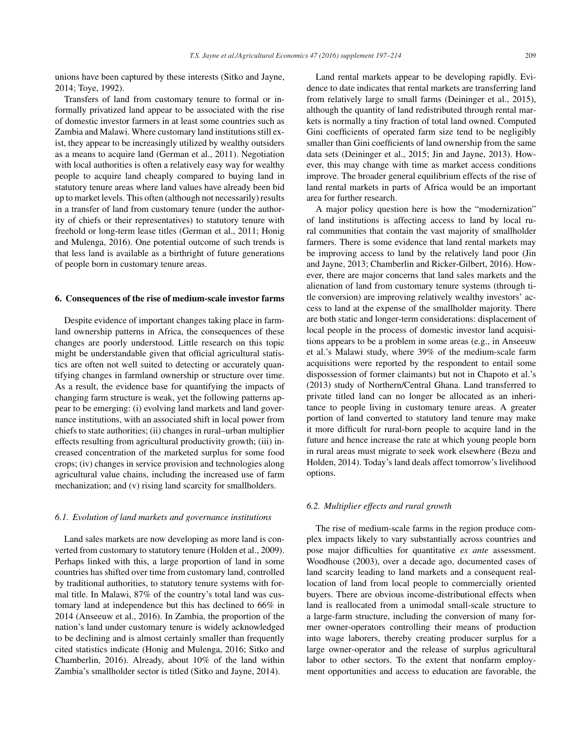unions have been captured by these interests (Sitko and Jayne, 2014; Toye, 1992).

Transfers of land from customary tenure to formal or informally privatized land appear to be associated with the rise of domestic investor farmers in at least some countries such as Zambia and Malawi. Where customary land institutions still exist, they appear to be increasingly utilized by wealthy outsiders as a means to acquire land (German et al., 2011). Negotiation with local authorities is often a relatively easy way for wealthy people to acquire land cheaply compared to buying land in statutory tenure areas where land values have already been bid up to market levels. This often (although not necessarily) results in a transfer of land from customary tenure (under the authority of chiefs or their representatives) to statutory tenure with freehold or long-term lease titles (German et al., 2011; Honig and Mulenga, 2016). One potential outcome of such trends is that less land is available as a birthright of future generations of people born in customary tenure areas.

## **6. Consequences of the rise of medium-scale investor farms**

Despite evidence of important changes taking place in farmland ownership patterns in Africa, the consequences of these changes are poorly understood. Little research on this topic might be understandable given that official agricultural statistics are often not well suited to detecting or accurately quantifying changes in farmland ownership or structure over time. As a result, the evidence base for quantifying the impacts of changing farm structure is weak, yet the following patterns appear to be emerging: (i) evolving land markets and land governance institutions, with an associated shift in local power from chiefs to state authorities; (ii) changes in rural–urban multiplier effects resulting from agricultural productivity growth; (iii) increased concentration of the marketed surplus for some food crops; (iv) changes in service provision and technologies along agricultural value chains, including the increased use of farm mechanization; and (v) rising land scarcity for smallholders.

## *6.1. Evolution of land markets and governance institutions*

Land sales markets are now developing as more land is converted from customary to statutory tenure (Holden et al., 2009). Perhaps linked with this, a large proportion of land in some countries has shifted over time from customary land, controlled by traditional authorities, to statutory tenure systems with formal title. In Malawi, 87% of the country's total land was customary land at independence but this has declined to 66% in 2014 (Anseeuw et al., 2016). In Zambia, the proportion of the nation's land under customary tenure is widely acknowledged to be declining and is almost certainly smaller than frequently cited statistics indicate (Honig and Mulenga, 2016; Sitko and Chamberlin, 2016). Already, about 10% of the land within Zambia's smallholder sector is titled (Sitko and Jayne, 2014).

Land rental markets appear to be developing rapidly. Evidence to date indicates that rental markets are transferring land from relatively large to small farms (Deininger et al., 2015), although the quantity of land redistributed through rental markets is normally a tiny fraction of total land owned. Computed Gini coefficients of operated farm size tend to be negligibly smaller than Gini coefficients of land ownership from the same data sets (Deininger et al., 2015; Jin and Jayne, 2013). However, this may change with time as market access conditions improve. The broader general equilibrium effects of the rise of land rental markets in parts of Africa would be an important area for further research.

A major policy question here is how the "modernization" of land institutions is affecting access to land by local rural communities that contain the vast majority of smallholder farmers. There is some evidence that land rental markets may be improving access to land by the relatively land poor (Jin and Jayne, 2013; Chamberlin and Ricker-Gilbert, 2016). However, there are major concerns that land sales markets and the alienation of land from customary tenure systems (through title conversion) are improving relatively wealthy investors' access to land at the expense of the smallholder majority. There are both static and longer-term considerations: displacement of local people in the process of domestic investor land acquisitions appears to be a problem in some areas (e.g., in Anseeuw et al.'s Malawi study, where 39% of the medium-scale farm acquisitions were reported by the respondent to entail some dispossession of former claimants) but not in Chapoto et al.'s (2013) study of Northern/Central Ghana. Land transferred to private titled land can no longer be allocated as an inheritance to people living in customary tenure areas. A greater portion of land converted to statutory land tenure may make it more difficult for rural-born people to acquire land in the future and hence increase the rate at which young people born in rural areas must migrate to seek work elsewhere (Bezu and Holden, 2014). Today's land deals affect tomorrow's livelihood options.

## *6.2. Multiplier effects and rural growth*

The rise of medium-scale farms in the region produce complex impacts likely to vary substantially across countries and pose major difficulties for quantitative *ex ante* assessment. Woodhouse (2003), over a decade ago, documented cases of land scarcity leading to land markets and a consequent reallocation of land from local people to commercially oriented buyers. There are obvious income-distributional effects when land is reallocated from a unimodal small-scale structure to a large-farm structure, including the conversion of many former owner-operators controlling their means of production into wage laborers, thereby creating producer surplus for a large owner-operator and the release of surplus agricultural labor to other sectors. To the extent that nonfarm employment opportunities and access to education are favorable, the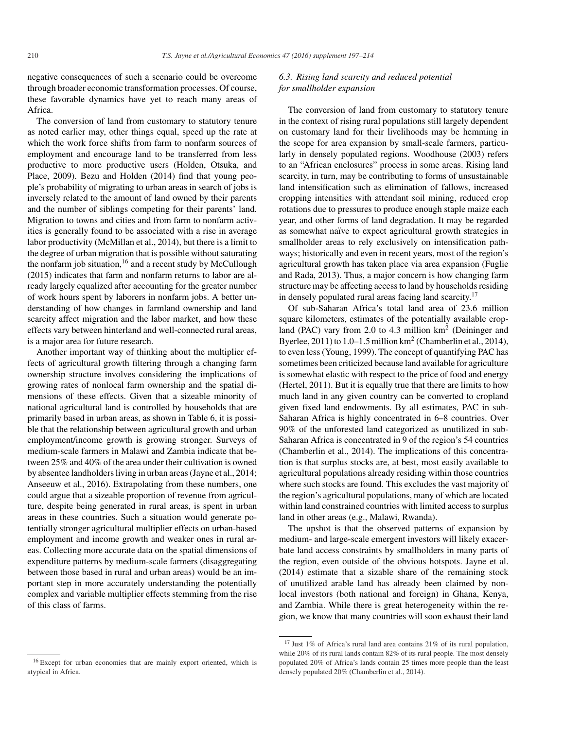negative consequences of such a scenario could be overcome through broader economic transformation processes. Of course, these favorable dynamics have yet to reach many areas of Africa.

The conversion of land from customary to statutory tenure as noted earlier may, other things equal, speed up the rate at which the work force shifts from farm to nonfarm sources of employment and encourage land to be transferred from less productive to more productive users (Holden, Otsuka, and Place, 2009). Bezu and Holden (2014) find that young people's probability of migrating to urban areas in search of jobs is inversely related to the amount of land owned by their parents and the number of siblings competing for their parents' land. Migration to towns and cities and from farm to nonfarm activities is generally found to be associated with a rise in average labor productivity (McMillan et al., 2014), but there is a limit to the degree of urban migration that is possible without saturating the nonfarm job situation,  $16$  and a recent study by McCullough (2015) indicates that farm and nonfarm returns to labor are already largely equalized after accounting for the greater number of work hours spent by laborers in nonfarm jobs. A better understanding of how changes in farmland ownership and land scarcity affect migration and the labor market, and how these effects vary between hinterland and well-connected rural areas, is a major area for future research.

Another important way of thinking about the multiplier effects of agricultural growth filtering through a changing farm ownership structure involves considering the implications of growing rates of nonlocal farm ownership and the spatial dimensions of these effects. Given that a sizeable minority of national agricultural land is controlled by households that are primarily based in urban areas, as shown in Table 6, it is possible that the relationship between agricultural growth and urban employment/income growth is growing stronger. Surveys of medium-scale farmers in Malawi and Zambia indicate that between 25% and 40% of the area under their cultivation is owned by absentee landholders living in urban areas (Jayne et al., 2014; Anseeuw et al., 2016). Extrapolating from these numbers, one could argue that a sizeable proportion of revenue from agriculture, despite being generated in rural areas, is spent in urban areas in these countries. Such a situation would generate potentially stronger agricultural multiplier effects on urban-based employment and income growth and weaker ones in rural areas. Collecting more accurate data on the spatial dimensions of expenditure patterns by medium-scale farmers (disaggregating between those based in rural and urban areas) would be an important step in more accurately understanding the potentially complex and variable multiplier effects stemming from the rise of this class of farms.

## *6.3. Rising land scarcity and reduced potential for smallholder expansion*

The conversion of land from customary to statutory tenure in the context of rising rural populations still largely dependent on customary land for their livelihoods may be hemming in the scope for area expansion by small-scale farmers, particularly in densely populated regions. Woodhouse (2003) refers to an "African enclosures" process in some areas. Rising land scarcity, in turn, may be contributing to forms of unsustainable land intensification such as elimination of fallows, increased cropping intensities with attendant soil mining, reduced crop rotations due to pressures to produce enough staple maize each year, and other forms of land degradation. It may be regarded as somewhat naïve to expect agricultural growth strategies in smallholder areas to rely exclusively on intensification pathways; historically and even in recent years, most of the region's agricultural growth has taken place via area expansion (Fuglie and Rada, 2013). Thus, a major concern is how changing farm structure may be affecting access to land by households residing in densely populated rural areas facing land scarcity.<sup>17</sup>

Of sub-Saharan Africa's total land area of 23.6 million square kilometers, estimates of the potentially available cropland (PAC) vary from 2.0 to 4.3 million  $km^2$  (Deininger and Byerlee,  $2011$ ) to  $1.0-1.5$  million km<sup>2</sup> (Chamberlin et al., 2014), to even less (Young, 1999). The concept of quantifying PAC has sometimes been criticized because land available for agriculture is somewhat elastic with respect to the price of food and energy (Hertel, 2011). But it is equally true that there are limits to how much land in any given country can be converted to cropland given fixed land endowments. By all estimates, PAC in sub-Saharan Africa is highly concentrated in 6–8 countries. Over 90% of the unforested land categorized as unutilized in sub-Saharan Africa is concentrated in 9 of the region's 54 countries (Chamberlin et al., 2014). The implications of this concentration is that surplus stocks are, at best, most easily available to agricultural populations already residing within those countries where such stocks are found. This excludes the vast majority of the region's agricultural populations, many of which are located within land constrained countries with limited access to surplus land in other areas (e.g., Malawi, Rwanda).

The upshot is that the observed patterns of expansion by medium- and large-scale emergent investors will likely exacerbate land access constraints by smallholders in many parts of the region, even outside of the obvious hotspots. Jayne et al. (2014) estimate that a sizable share of the remaining stock of unutilized arable land has already been claimed by nonlocal investors (both national and foreign) in Ghana, Kenya, and Zambia. While there is great heterogeneity within the region, we know that many countries will soon exhaust their land

<sup>16</sup> Except for urban economies that are mainly export oriented, which is atypical in Africa.

 $17$  Just 1% of Africa's rural land area contains 21% of its rural population, while 20% of its rural lands contain 82% of its rural people. The most densely populated 20% of Africa's lands contain 25 times more people than the least densely populated 20% (Chamberlin et al., 2014).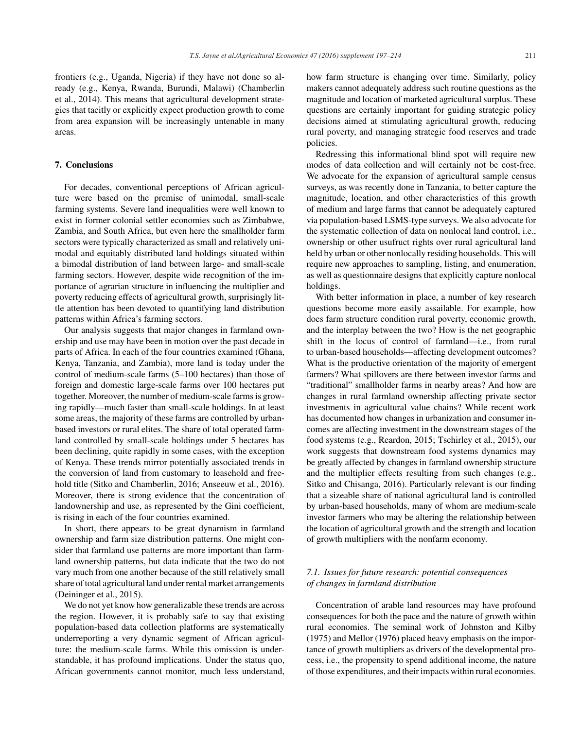## **7. Conclusions**

For decades, conventional perceptions of African agriculture were based on the premise of unimodal, small-scale farming systems. Severe land inequalities were well known to exist in former colonial settler economies such as Zimbabwe, Zambia, and South Africa, but even here the smallholder farm sectors were typically characterized as small and relatively unimodal and equitably distributed land holdings situated within a bimodal distribution of land between large- and small-scale farming sectors. However, despite wide recognition of the importance of agrarian structure in influencing the multiplier and poverty reducing effects of agricultural growth, surprisingly little attention has been devoted to quantifying land distribution patterns within Africa's farming sectors.

Our analysis suggests that major changes in farmland ownership and use may have been in motion over the past decade in parts of Africa. In each of the four countries examined (Ghana, Kenya, Tanzania, and Zambia), more land is today under the control of medium-scale farms (5–100 hectares) than those of foreign and domestic large-scale farms over 100 hectares put together. Moreover, the number of medium-scale farms is growing rapidly—much faster than small-scale holdings. In at least some areas, the majority of these farms are controlled by urbanbased investors or rural elites. The share of total operated farmland controlled by small-scale holdings under 5 hectares has been declining, quite rapidly in some cases, with the exception of Kenya. These trends mirror potentially associated trends in the conversion of land from customary to leasehold and freehold title (Sitko and Chamberlin, 2016; Anseeuw et al., 2016). Moreover, there is strong evidence that the concentration of landownership and use, as represented by the Gini coefficient, is rising in each of the four countries examined.

In short, there appears to be great dynamism in farmland ownership and farm size distribution patterns. One might consider that farmland use patterns are more important than farmland ownership patterns, but data indicate that the two do not vary much from one another because of the still relatively small share of total agricultural land under rental market arrangements (Deininger et al., 2015).

We do not yet know how generalizable these trends are across the region. However, it is probably safe to say that existing population-based data collection platforms are systematically underreporting a very dynamic segment of African agriculture: the medium-scale farms. While this omission is understandable, it has profound implications. Under the status quo, African governments cannot monitor, much less understand,

how farm structure is changing over time. Similarly, policy makers cannot adequately address such routine questions as the magnitude and location of marketed agricultural surplus. These questions are certainly important for guiding strategic policy decisions aimed at stimulating agricultural growth, reducing rural poverty, and managing strategic food reserves and trade policies.

Redressing this informational blind spot will require new modes of data collection and will certainly not be cost-free. We advocate for the expansion of agricultural sample census surveys, as was recently done in Tanzania, to better capture the magnitude, location, and other characteristics of this growth of medium and large farms that cannot be adequately captured via population-based LSMS-type surveys. We also advocate for the systematic collection of data on nonlocal land control, i.e., ownership or other usufruct rights over rural agricultural land held by urban or other nonlocally residing households. This will require new approaches to sampling, listing, and enumeration, as well as questionnaire designs that explicitly capture nonlocal holdings.

With better information in place, a number of key research questions become more easily assailable. For example, how does farm structure condition rural poverty, economic growth, and the interplay between the two? How is the net geographic shift in the locus of control of farmland—i.e., from rural to urban-based households—affecting development outcomes? What is the productive orientation of the majority of emergent farmers? What spillovers are there between investor farms and "traditional" smallholder farms in nearby areas? And how are changes in rural farmland ownership affecting private sector investments in agricultural value chains? While recent work has documented how changes in urbanization and consumer incomes are affecting investment in the downstream stages of the food systems (e.g., Reardon, 2015; Tschirley et al., 2015), our work suggests that downstream food systems dynamics may be greatly affected by changes in farmland ownership structure and the multiplier effects resulting from such changes (e.g., Sitko and Chisanga, 2016). Particularly relevant is our finding that a sizeable share of national agricultural land is controlled by urban-based households, many of whom are medium-scale investor farmers who may be altering the relationship between the location of agricultural growth and the strength and location of growth multipliers with the nonfarm economy.

## *7.1. Issues for future research: potential consequences of changes in farmland distribution*

Concentration of arable land resources may have profound consequences for both the pace and the nature of growth within rural economies. The seminal work of Johnston and Kilby (1975) and Mellor (1976) placed heavy emphasis on the importance of growth multipliers as drivers of the developmental process, i.e., the propensity to spend additional income, the nature of those expenditures, and their impacts within rural economies.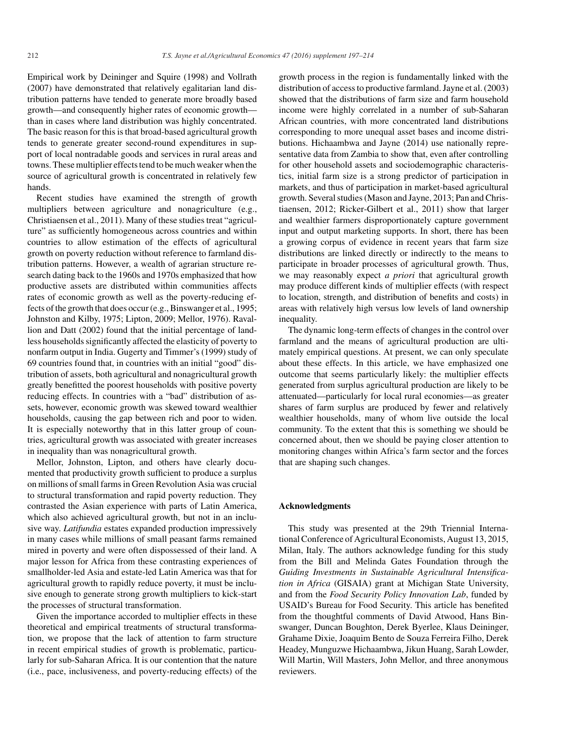Empirical work by Deininger and Squire (1998) and Vollrath (2007) have demonstrated that relatively egalitarian land distribution patterns have tended to generate more broadly based growth—and consequently higher rates of economic growth than in cases where land distribution was highly concentrated. The basic reason for this is that broad-based agricultural growth tends to generate greater second-round expenditures in support of local nontradable goods and services in rural areas and towns. These multiplier effects tend to be much weaker when the source of agricultural growth is concentrated in relatively few hands.

Recent studies have examined the strength of growth multipliers between agriculture and nonagriculture (e.g., Christiaensen et al., 2011). Many of these studies treat "agriculture" as sufficiently homogeneous across countries and within countries to allow estimation of the effects of agricultural growth on poverty reduction without reference to farmland distribution patterns. However, a wealth of agrarian structure research dating back to the 1960s and 1970s emphasized that how productive assets are distributed within communities affects rates of economic growth as well as the poverty-reducing effects of the growth that does occur (e.g., Binswanger et al., 1995; Johnston and Kilby, 1975; Lipton, 2009; Mellor, 1976). Ravallion and Datt (2002) found that the initial percentage of landless households significantly affected the elasticity of poverty to nonfarm output in India. Gugerty and Timmer's (1999) study of 69 countries found that, in countries with an initial "good" distribution of assets, both agricultural and nonagricultural growth greatly benefitted the poorest households with positive poverty reducing effects. In countries with a "bad" distribution of assets, however, economic growth was skewed toward wealthier households, causing the gap between rich and poor to widen. It is especially noteworthy that in this latter group of countries, agricultural growth was associated with greater increases in inequality than was nonagricultural growth.

Mellor, Johnston, Lipton, and others have clearly documented that productivity growth sufficient to produce a surplus on millions of small farms in Green Revolution Asia was crucial to structural transformation and rapid poverty reduction. They contrasted the Asian experience with parts of Latin America, which also achieved agricultural growth, but not in an inclusive way. *Latifundia* estates expanded production impressively in many cases while millions of small peasant farms remained mired in poverty and were often dispossessed of their land. A major lesson for Africa from these contrasting experiences of smallholder-led Asia and estate-led Latin America was that for agricultural growth to rapidly reduce poverty, it must be inclusive enough to generate strong growth multipliers to kick-start the processes of structural transformation.

Given the importance accorded to multiplier effects in these theoretical and empirical treatments of structural transformation, we propose that the lack of attention to farm structure in recent empirical studies of growth is problematic, particularly for sub-Saharan Africa. It is our contention that the nature (i.e., pace, inclusiveness, and poverty-reducing effects) of the

growth process in the region is fundamentally linked with the distribution of access to productive farmland. Jayne et al. (2003) showed that the distributions of farm size and farm household income were highly correlated in a number of sub-Saharan African countries, with more concentrated land distributions corresponding to more unequal asset bases and income distributions. Hichaambwa and Jayne (2014) use nationally representative data from Zambia to show that, even after controlling for other household assets and sociodemographic characteristics, initial farm size is a strong predictor of participation in markets, and thus of participation in market-based agricultural growth. Several studies (Mason and Jayne, 2013; Pan and Christiaensen, 2012; Ricker-Gilbert et al., 2011) show that larger and wealthier farmers disproportionately capture government input and output marketing supports. In short, there has been a growing corpus of evidence in recent years that farm size distributions are linked directly or indirectly to the means to participate in broader processes of agricultural growth. Thus, we may reasonably expect *a priori* that agricultural growth may produce different kinds of multiplier effects (with respect to location, strength, and distribution of benefits and costs) in areas with relatively high versus low levels of land ownership inequality.

The dynamic long-term effects of changes in the control over farmland and the means of agricultural production are ultimately empirical questions. At present, we can only speculate about these effects. In this article, we have emphasized one outcome that seems particularly likely: the multiplier effects generated from surplus agricultural production are likely to be attenuated—particularly for local rural economies—as greater shares of farm surplus are produced by fewer and relatively wealthier households, many of whom live outside the local community. To the extent that this is something we should be concerned about, then we should be paying closer attention to monitoring changes within Africa's farm sector and the forces that are shaping such changes.

## **Acknowledgments**

This study was presented at the 29th Triennial International Conference of Agricultural Economists, August 13, 2015, Milan, Italy. The authors acknowledge funding for this study from the Bill and Melinda Gates Foundation through the *Guiding Investments in Sustainable Agricultural Intensification in Africa* (GISAIA) grant at Michigan State University, and from the *Food Security Policy Innovation Lab*, funded by USAID's Bureau for Food Security. This article has benefited from the thoughtful comments of David Atwood, Hans Binswanger, Duncan Boughton, Derek Byerlee, Klaus Deininger, Grahame Dixie, Joaquim Bento de Souza Ferreira Filho, Derek Headey, Munguzwe Hichaambwa, Jikun Huang, Sarah Lowder, Will Martin, Will Masters, John Mellor, and three anonymous reviewers.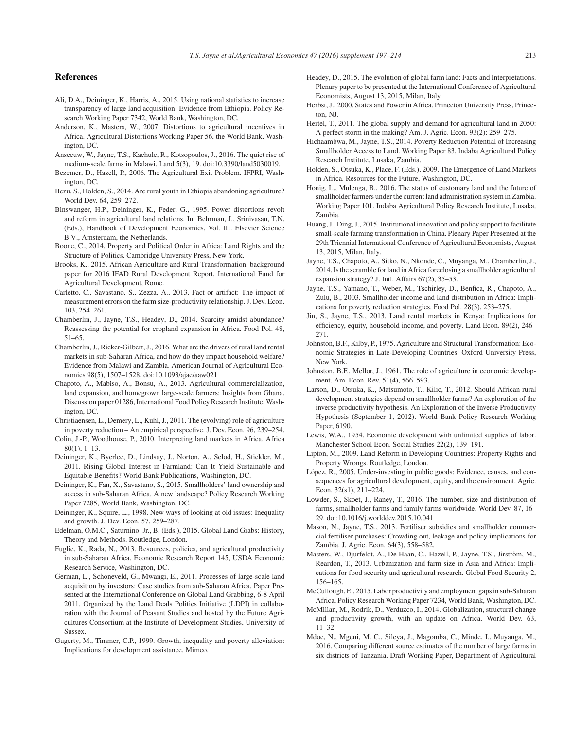#### **References**

- Ali, D.A., Deininger, K., Harris, A., 2015. Using national statistics to increase transparency of large land acquisition: Evidence from Ethiopia. Policy Research Working Paper 7342, World Bank, Washington, DC.
- Anderson, K., Masters, W., 2007. Distortions to agricultural incentives in Africa. Agricultural Distortions Working Paper 56, the World Bank, Washington, DC.
- Anseeuw, W., Jayne, T.S., Kachule, R., Kotsopoulos, J., 2016. The quiet rise of medium-scale farms in Malawi. Land 5(3), 19. doi:10.3390/land5030019.
- Bezemer, D., Hazell, P., 2006. The Agricultural Exit Problem. IFPRI, Washington, DC.
- Bezu, S., Holden, S., 2014. Are rural youth in Ethiopia abandoning agriculture? World Dev. 64, 259–272.
- Binswanger, H.P., Deininger, K., Feder, G., 1995. Power distortions revolt and reform in agricultural land relations. In: Behrman, J., Srinivasan, T.N. (Eds.), Handbook of Development Economics, Vol. III. Elsevier Science B.V., Amsterdam, the Netherlands.
- Boone, C., 2014. Property and Political Order in Africa: Land Rights and the Structure of Politics. Cambridge University Press, New York.
- Brooks, K., 2015. African Agriculture and Rural Transformation, background paper for 2016 IFAD Rural Development Report, International Fund for Agricultural Development, Rome.
- Carletto, C., Savastano, S., Zezza, A., 2013. Fact or artifact: The impact of measurement errors on the farm size-productivity relationship. J. Dev. Econ. 103, 254–261.
- Chamberlin, J., Jayne, T.S., Headey, D., 2014. Scarcity amidst abundance? Reassessing the potential for cropland expansion in Africa. Food Pol. 48, 51–65.
- Chamberlin, J., Ricker-Gilbert, J., 2016. What are the drivers of rural land rental markets in sub-Saharan Africa, and how do they impact household welfare? Evidence from Malawi and Zambia. American Journal of Agricultural Economics 98(5), 1507–1528, doi:10.1093/ajae/aaw021
- Chapoto, A., Mabiso, A., Bonsu, A., 2013. Agricultural commercialization, land expansion, and homegrown large-scale farmers: Insights from Ghana. Discussion paper 01286, International Food Policy Research Institute, Washington, DC.
- Christiaensen, L., Demery, L., Kuhl, J., 2011. The (evolving) role of agriculture in poverty reduction – An empirical perspective. J. Dev. Econ. 96, 239–254.
- Colin, J.-P., Woodhouse, P., 2010. Interpreting land markets in Africa. Africa 80(1), 1–13.
- Deininger, K., Byerlee, D., Lindsay, J., Norton, A., Selod, H., Stickler, M., 2011. Rising Global Interest in Farmland: Can It Yield Sustainable and Equitable Benefits? World Bank Publications, Washington, DC.
- Deininger, K., Fan, X., Savastano, S., 2015. Smallholders' land ownership and access in sub-Saharan Africa. A new landscape? Policy Research Working Paper 7285, World Bank, Washington, DC.
- Deininger, K., Squire, L., 1998. New ways of looking at old issues: Inequality and growth. J. Dev. Econ. 57, 259–287.
- Edelman, O.M.C., Saturnino Jr., B. (Eds.), 2015. Global Land Grabs: History, Theory and Methods. Routledge, London.
- Fuglie, K., Rada, N., 2013. Resources, policies, and agricultural productivity in sub-Saharan Africa. Economic Research Report 145, USDA Economic Research Service, Washington, DC.
- German, L., Schoneveld, G., Mwangi, E., 2011. Processes of large-scale land acquisition by investors: Case studies from sub-Saharan Africa. Paper Presented at the International Conference on Global Land Grabbing, 6-8 April 2011. Organized by the Land Deals Politics Initiative (LDPI) in collaboration with the Journal of Peasant Studies and hosted by the Future Agricultures Consortium at the Institute of Development Studies, University of Sussex.
- Gugerty, M., Timmer, C.P., 1999. Growth, inequality and poverty alleviation: Implications for development assistance. Mimeo.
- Headey, D., 2015. The evolution of global farm land: Facts and Interpretations. Plenary paper to be presented at the International Conference of Agricultural Economists, August 13, 2015, Milan, Italy.
- Herbst, J., 2000. States and Power in Africa. Princeton University Press, Princeton, NJ.
- Hertel, T., 2011. The global supply and demand for agricultural land in 2050: A perfect storm in the making? Am. J. Agric. Econ. 93(2): 259–275.
- Hichaambwa, M., Jayne, T.S., 2014. Poverty Reduction Potential of Increasing Smallholder Access to Land. Working Paper 83, Indaba Agricultural Policy Research Institute, Lusaka, Zambia.
- Holden, S., Otsuka, K., Place, F. (Eds.). 2009. The Emergence of Land Markets in Africa. Resources for the Future, Washington, DC.
- Honig, L., Mulenga, B., 2016. The status of customary land and the future of smallholder farmers under the current land administration system in Zambia. Working Paper 101. Indaba Agricultural Policy Research Institute, Lusaka, Zambia.
- Huang, J., Ding, J., 2015. Institutional innovation and policy support to facilitate small-scale farming transformation in China. Plenary Paper Presented at the 29th Triennial International Conference of Agricultural Economists, August 13, 2015, Milan, Italy.
- Jayne, T.S., Chapoto, A., Sitko, N., Nkonde, C., Muyanga, M., Chamberlin, J., 2014. Is the scramble for land in Africa foreclosing a smallholder agricultural expansion strategy? J. Intl. Affairs 67(2), 35–53.
- Jayne, T.S., Yamano, T., Weber, M., Tschirley, D., Benfica, R., Chapoto, A., Zulu, B., 2003. Smallholder income and land distribution in Africa: Implications for poverty reduction strategies. Food Pol. 28(3), 253–275.
- Jin, S., Jayne, T.S., 2013. Land rental markets in Kenya: Implications for efficiency, equity, household income, and poverty. Land Econ. 89(2), 246– 271.
- Johnston, B.F., Kilby, P., 1975. Agriculture and Structural Transformation: Economic Strategies in Late-Developing Countries. Oxford University Press, New York.
- Johnston, B.F., Mellor, J., 1961. The role of agriculture in economic development. Am. Econ. Rev. 51(4), 566–593.
- Larson, D., Otsuka, K., Matsumoto, T., Kilic, T., 2012. Should African rural development strategies depend on smallholder farms? An exploration of the inverse productivity hypothesis. An Exploration of the Inverse Productivity Hypothesis (September 1, 2012). World Bank Policy Research Working Paper, 6190.
- Lewis, W.A., 1954. Economic development with unlimited supplies of labor. Manchester School Econ. Social Studies 22(2), 139–191.
- Lipton, M., 2009. Land Reform in Developing Countries: Property Rights and Property Wrongs. Routledge, London.
- López, R., 2005. Under-investing in public goods: Evidence, causes, and consequences for agricultural development, equity, and the environment. Agric. Econ. 32(s1), 211–224.
- Lowder, S., Skoet, J., Raney, T., 2016. The number, size and distribution of farms, smallholder farms and family farms worldwide. World Dev. 87, 16– 29. doi:10.1016/j.worlddev.2015.10.041
- Mason, N., Jayne, T.S., 2013. Fertiliser subsidies and smallholder commercial fertiliser purchases: Crowding out, leakage and policy implications for Zambia. J. Agric. Econ. 64(3), 558–582.
- Masters, W., Djurfeldt, A., De Haan, C., Hazell, P., Jayne, T.S., Jirström, M., Reardon, T., 2013. Urbanization and farm size in Asia and Africa: Implications for food security and agricultural research. Global Food Security 2, 156–165.
- McCullough, E., 2015. Labor productivity and employment gaps in sub-Saharan Africa. Policy Research Working Paper 7234, World Bank, Washington, DC.
- McMillan, M., Rodrik, D., Verduzco, I., 2014. Globalization, structural change and productivity growth, with an update on Africa. World Dev. 63, 11–32.
- Mdoe, N., Mgeni, M. C., Sileya, J., Magomba, C., Minde, I., Muyanga, M., 2016. Comparing different source estimates of the number of large farms in six districts of Tanzania. Draft Working Paper, Department of Agricultural